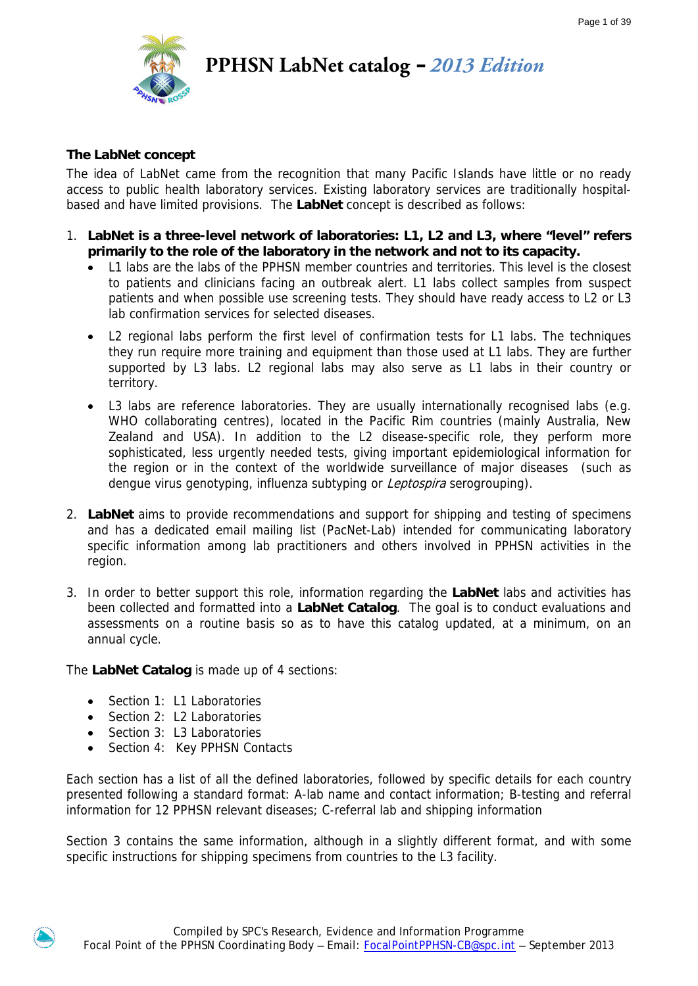

**PPHSN LabNet catalog –** *2013 Edition*

### **The LabNet concept**

The idea of LabNet came from the recognition that many Pacific Islands have little or no ready access to public health laboratory services. Existing laboratory services are traditionally hospitalbased and have limited provisions. The **LabNet** concept is described as follows:

- 1. **LabNet is a three-level network of laboratories: L1, L2 and L3, where "level" refers primarily to the role of the laboratory in the network and not to its capacity.** 
	- L1 labs are the labs of the PPHSN member countries and territories. This level is the closest to patients and clinicians facing an outbreak alert. L1 labs collect samples from suspect patients and when possible use screening tests. They should have ready access to L2 or L3 lab confirmation services for selected diseases.
	- L2 regional labs perform the first level of confirmation tests for L1 labs. The techniques they run require more training and equipment than those used at L1 labs. They are further supported by L3 labs. L2 regional labs may also serve as L1 labs in their country or territory.
	- L3 labs are reference laboratories. They are usually internationally recognised labs (e.g. WHO collaborating centres), located in the Pacific Rim countries (mainly Australia, New Zealand and USA). In addition to the L2 disease-specific role, they perform more sophisticated, less urgently needed tests, giving important epidemiological information for the region or in the context of the worldwide surveillance of major diseases (such as dengue virus genotyping, influenza subtyping or *Leptospira* serogrouping).
- 2. **LabNet** aims to provide recommendations and support for shipping and testing of specimens and has a dedicated email mailing list (PacNet-Lab) intended for communicating laboratory specific information among lab practitioners and others involved in PPHSN activities in the region.
- 3. In order to better support this role, information regarding the **LabNet** labs and activities has been collected and formatted into a **LabNet Catalog**. The goal is to conduct evaluations and assessments on a routine basis so as to have this catalog updated, at a minimum, on an annual cycle.

The **LabNet Catalog** is made up of 4 sections:

- Section 1: L1 Laboratories
- Section 2: L2 Laboratories
- Section 3: L3 Laboratories
- Section 4: Key PPHSN Contacts

Each section has a list of all the defined laboratories, followed by specific details for each country presented following a standard format: A-lab name and contact information; B-testing and referral information for 12 PPHSN relevant diseases; C-referral lab and shipping information

Section 3 contains the same information, although in a slightly different format, and with some specific instructions for shipping specimens from countries to the L3 facility.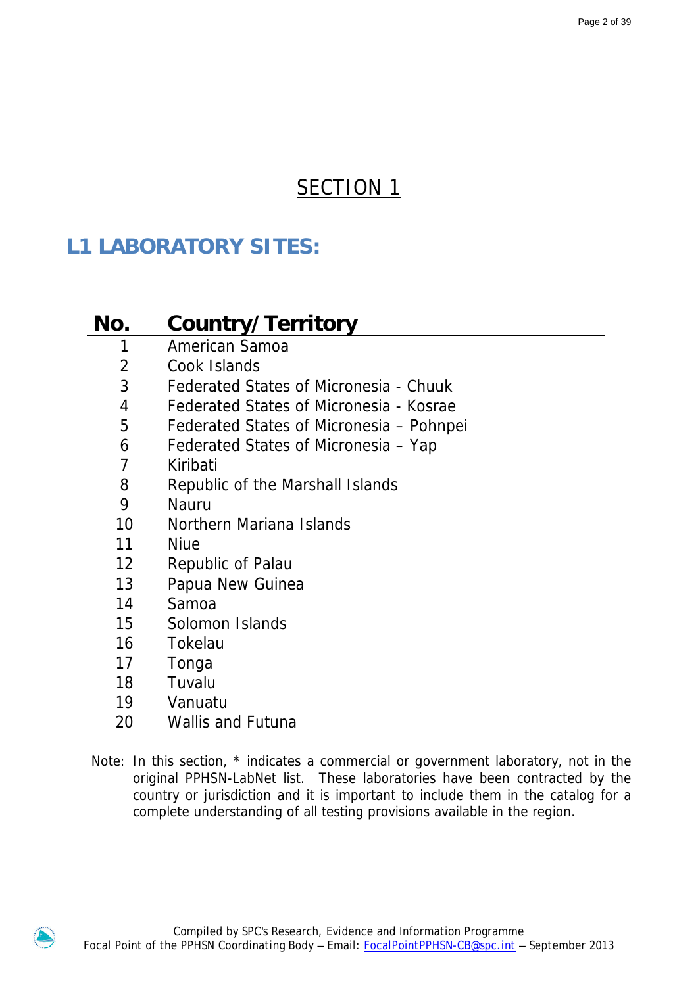# SECTION<sub>1</sub>

# **L1 LABORATORY SITES:**

| No.               | Country/Territory                        |
|-------------------|------------------------------------------|
| 1                 | American Samoa                           |
| 2                 | Cook Islands                             |
| 3                 | Federated States of Micronesia - Chuuk   |
| 4                 | Federated States of Micronesia - Kosrae  |
| 5                 | Federated States of Micronesia – Pohnpei |
| 6                 | Federated States of Micronesia – Yap     |
| 7                 | Kiribati                                 |
| 8                 | Republic of the Marshall Islands         |
| 9                 | <b>Nauru</b>                             |
| 10                | Northern Mariana Islands                 |
| 11                | <b>Niue</b>                              |
| $12 \overline{ }$ | Republic of Palau                        |
| 13                | Papua New Guinea                         |
| 14                | Samoa                                    |
| 15                | Solomon Islands                          |
| 16                | Tokelau                                  |
| 17                | Tonga                                    |
| 18                | Tuvalu                                   |
| 19                | Vanuatu                                  |
| 20                | <b>Wallis and Futuna</b>                 |

Note: In this section, \* indicates a commercial or government laboratory, not in the original PPHSN-LabNet list. These laboratories have been contracted by the country or jurisdiction and it is important to include them in the catalog for a complete understanding of all testing provisions available in the region.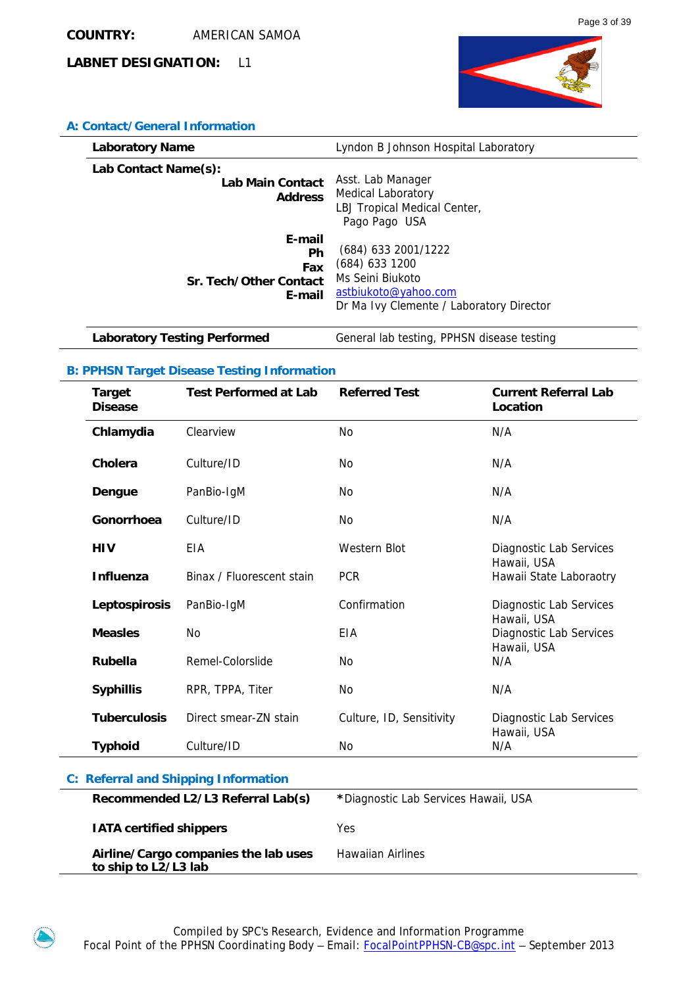

### **A: Contact/General Information**

| <b>Laboratory Name</b>                                     | Lyndon B Johnson Hospital Laboratory                                                                                            |
|------------------------------------------------------------|---------------------------------------------------------------------------------------------------------------------------------|
| Lab Contact Name(s):<br>Lab Main Contact<br><b>Address</b> | Asst. Lab Manager<br><b>Medical Laboratory</b><br>LBJ Tropical Medical Center,<br>Pago Pago USA                                 |
| E-mail<br>Ph<br>Fax<br>Sr. Tech/Other Contact<br>E-mail    | (684) 633 2001/1222<br>$(684)$ 633 1200<br>Ms Seini Biukoto<br>astbiukoto@yahoo.com<br>Dr Ma Ivy Clemente / Laboratory Director |

**Laboratory Testing Performed General lab testing, PPHSN disease testing** 

### **B: PPHSN Target Disease Testing Information**

|                                             | <b>Target</b><br><b>Disease</b>                              | <b>Test Performed at Lab</b> | <b>Referred Test</b>                 | <b>Current Referral Lab</b><br>Location       |
|---------------------------------------------|--------------------------------------------------------------|------------------------------|--------------------------------------|-----------------------------------------------|
|                                             | Chlamydia                                                    | Clearview                    | <b>No</b>                            | N/A                                           |
|                                             | <b>Cholera</b>                                               | Culture/ID                   | No                                   | N/A                                           |
|                                             | Dengue                                                       | PanBio-IgM                   | No                                   | N/A                                           |
|                                             | Gonorrhoea                                                   | Culture/ID                   | No                                   | N/A                                           |
|                                             | <b>HIV</b>                                                   | EIA                          | Western Blot                         | Diagnostic Lab Services<br>Hawaii, USA        |
|                                             | <b>Influenza</b>                                             | Binax / Fluorescent stain    | <b>PCR</b>                           | Hawaii State Laboraotry                       |
|                                             | Leptospirosis                                                | PanBio-IgM                   | Confirmation                         | Diagnostic Lab Services<br>Hawaii, USA        |
|                                             | <b>Measles</b>                                               | <b>No</b>                    | EIA                                  | <b>Diagnostic Lab Services</b><br>Hawaii, USA |
|                                             | <b>Rubella</b>                                               | Remel-Colorslide             | No                                   | N/A                                           |
|                                             | <b>Syphillis</b>                                             | RPR, TPPA, Titer             | No                                   | N/A                                           |
|                                             | <b>Tuberculosis</b>                                          | Direct smear-ZN stain        | Culture, ID, Sensitivity             | Diagnostic Lab Services<br>Hawaii, USA        |
|                                             | <b>Typhoid</b>                                               | Culture/ID                   | No                                   | N/A                                           |
| <b>C: Referral and Shipping Information</b> |                                                              |                              |                                      |                                               |
|                                             | Recommended L2/L3 Referral Lab(s)                            |                              | *Diagnostic Lab Services Hawaii, USA |                                               |
|                                             | <b>IATA certified shippers</b>                               |                              | Yes                                  |                                               |
|                                             | Airline/Cargo companies the lab uses<br>to ship to L2/L3 lab |                              | <b>Hawaiian Airlines</b>             |                                               |

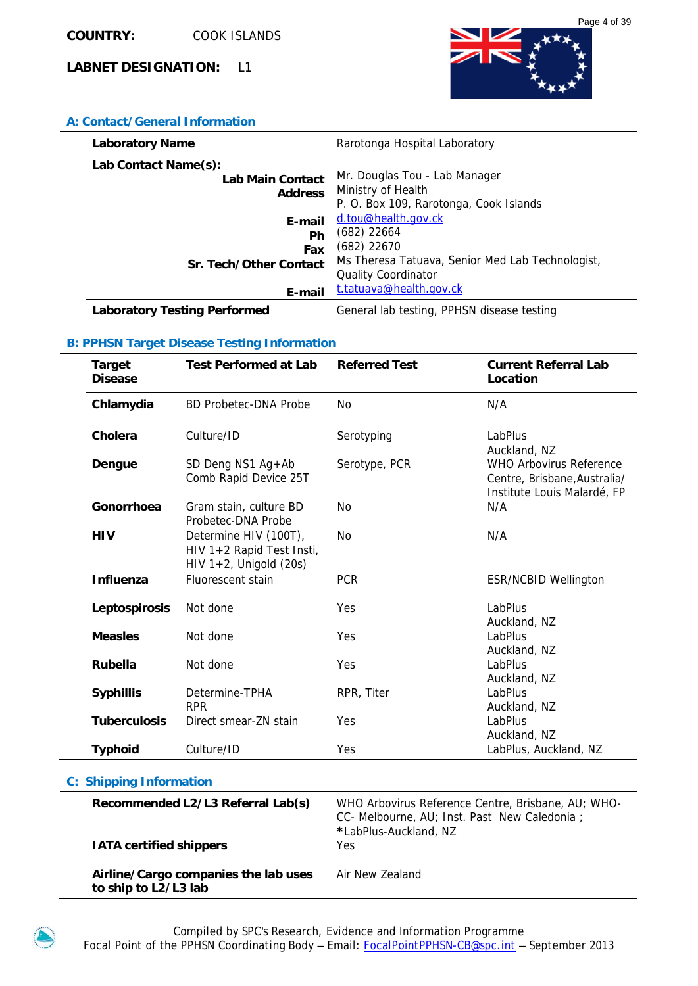

### **A: Contact/General Information**

| <b>Laboratory Name</b>              | Rarotonga Hospital Laboratory                    |
|-------------------------------------|--------------------------------------------------|
| Lab Contact Name(s):                |                                                  |
| Lab Main Contact                    | Mr. Douglas Tou - Lab Manager                    |
| <b>Address</b>                      | Ministry of Health                               |
|                                     | P. O. Box 109, Rarotonga, Cook Islands           |
| E-mail                              | d.tou@health.gov.ck                              |
| Ph                                  | $(682)$ 22664                                    |
| Fax                                 | (682) 22670                                      |
| Sr. Tech/Other Contact              | Ms Theresa Tatuava, Senior Med Lab Technologist, |
|                                     | <b>Quality Coordinator</b>                       |
| E-mail                              | t.tatuava@health.gov.ck                          |
| <b>Laboratory Testing Performed</b> | General lab testing, PPHSN disease testing       |

### **B: PPHSN Target Disease Testing Information**

| <b>Target</b><br><b>Disease</b> | <b>Test Performed at Lab</b>                                                    | <b>Referred Test</b> | <b>Current Referral Lab</b><br>Location                                                       |
|---------------------------------|---------------------------------------------------------------------------------|----------------------|-----------------------------------------------------------------------------------------------|
| Chlamydia                       | <b>BD Probetec-DNA Probe</b>                                                    | N <sub>O</sub>       | N/A                                                                                           |
| Cholera                         | Culture/ID                                                                      | Serotyping           | LabPlus<br>Auckland, NZ                                                                       |
| Dengue                          | SD Deng NS1 Ag+Ab<br>Comb Rapid Device 25T                                      | Serotype, PCR        | <b>WHO Arbovirus Reference</b><br>Centre, Brisbane, Australia/<br>Institute Louis Malardé, FP |
| Gonorrhoea                      | Gram stain, culture BD<br>Probetec-DNA Probe                                    | N <sub>O</sub>       | N/A                                                                                           |
| <b>HIV</b>                      | Determine HIV (100T),<br>HIV 1+2 Rapid Test Insti,<br>$HIV 1+2$ , Unigold (20s) | <b>No</b>            | N/A                                                                                           |
| <b>Influenza</b>                | <b>Fluorescent stain</b>                                                        | <b>PCR</b>           | <b>ESR/NCBID Wellington</b>                                                                   |
| Leptospirosis                   | Not done                                                                        | Yes                  | LabPlus<br>Auckland, NZ                                                                       |
| <b>Measles</b>                  | Not done                                                                        | Yes                  | <b>LabPlus</b><br>Auckland, NZ                                                                |
| <b>Rubella</b>                  | Not done                                                                        | Yes                  | LabPlus<br>Auckland, NZ                                                                       |
| <b>Syphillis</b>                | Determine-TPHA<br><b>RPR</b>                                                    | RPR, Titer           | LabPlus<br>Auckland, NZ                                                                       |
| <b>Tuberculosis</b>             | Direct smear-ZN stain                                                           | Yes                  | LabPlus<br>Auckland, NZ                                                                       |
| <b>Typhoid</b>                  | Culture/ID                                                                      | Yes                  | LabPlus, Auckland, NZ                                                                         |

| Recommended L2/L3 Referral Lab(s)                            | WHO Arbovirus Reference Centre, Brisbane, AU; WHO-<br>CC- Melbourne, AU; Inst. Past New Caledonia;<br>*LabPlus-Auckland, NZ |
|--------------------------------------------------------------|-----------------------------------------------------------------------------------------------------------------------------|
| <b>IATA certified shippers</b>                               | Yes                                                                                                                         |
| Airline/Cargo companies the lab uses<br>to ship to L2/L3 lab | Air New Zealand                                                                                                             |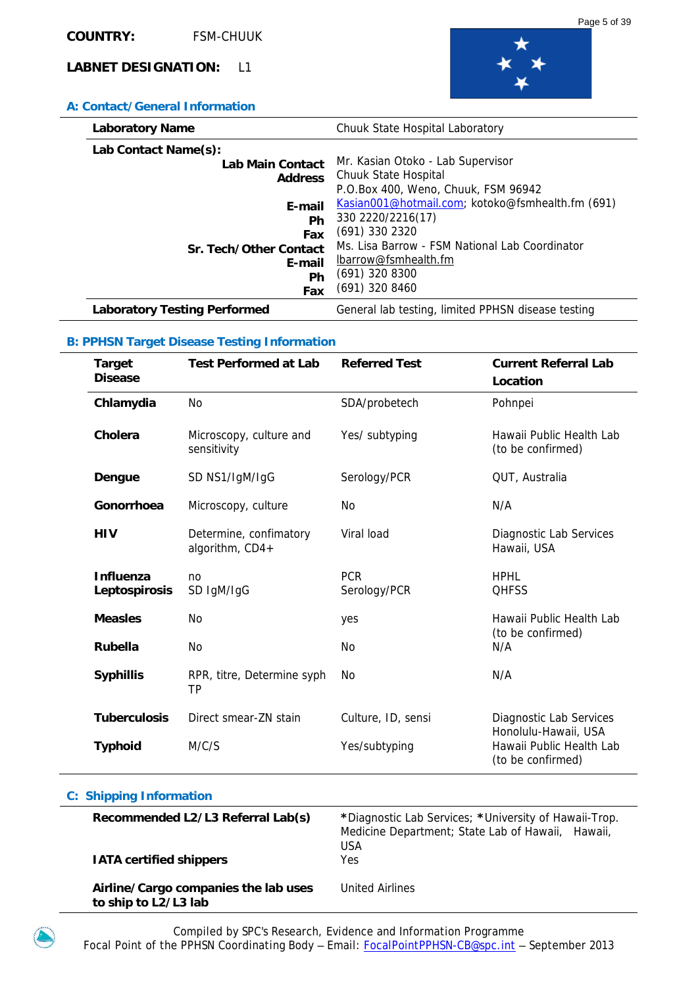

### **A: Contact/General Information**

| <b>Laboratory Name</b>              | Chuuk State Hospital Laboratory                    |
|-------------------------------------|----------------------------------------------------|
| Lab Contact Name(s):                |                                                    |
| Lab Main Contact                    | Mr. Kasian Otoko - Lab Supervisor                  |
| <b>Address</b>                      | Chuuk State Hospital                               |
|                                     | P.O.Box 400, Weno, Chuuk, FSM 96942                |
| E-mail                              | Kasian001@hotmail.com; kotoko@fsmhealth.fm (691)   |
| Ph                                  | 330 2220/2216(17)                                  |
| Fax                                 | $(691)$ 330 2320                                   |
| Sr. Tech/Other Contact              | Ms. Lisa Barrow - FSM National Lab Coordinator     |
| E-mail                              | lbarrow@fsmhealth.fm                               |
| Ph                                  | $(691)$ 320 8300                                   |
| Fax                                 | $(691)$ 320 8460                                   |
| <b>Laboratory Testing Performed</b> | General lab testing, limited PPHSN disease testing |

### **B: PPHSN Target Disease Testing Information**

| Target<br><b>Disease</b>   | <b>Test Performed at Lab</b>              | <b>Referred Test</b>       | <b>Current Referral Lab</b><br>Location                               |
|----------------------------|-------------------------------------------|----------------------------|-----------------------------------------------------------------------|
| Chlamydia                  | N <sub>O</sub>                            | SDA/probetech              | Pohnpei                                                               |
| Cholera                    | Microscopy, culture and<br>sensitivity    | Yes/ subtyping             | Hawaii Public Health Lab<br>(to be confirmed)                         |
| Dengue                     | SD NS1/IgM/IgG                            | Serology/PCR               | QUT, Australia                                                        |
| Gonorrhoea                 | Microscopy, culture                       | No                         | N/A                                                                   |
| <b>HIV</b>                 | Determine, confimatory<br>algorithm, CD4+ | Viral load                 | Diagnostic Lab Services<br>Hawaii, USA                                |
| Influenza<br>Leptospirosis | no<br>SD IgM/IgG                          | <b>PCR</b><br>Serology/PCR | <b>HPHL</b><br><b>QHFSS</b>                                           |
| <b>Measles</b>             | <b>No</b>                                 | yes                        | Hawaii Public Health Lab                                              |
| <b>Rubella</b>             | No                                        | N <sub>0</sub>             | (to be confirmed)<br>N/A                                              |
| <b>Syphillis</b>           | RPR, titre, Determine syph<br>TP          | No                         | N/A                                                                   |
| <b>Tuberculosis</b>        | Direct smear-ZN stain                     | Culture, ID, sensi         | Diagnostic Lab Services                                               |
| <b>Typhoid</b>             | M/C/S                                     | Yes/subtyping              | Honolulu-Hawaii, USA<br>Hawaii Public Health Lab<br>(to be confirmed) |

| Recommended L2/L3 Referral Lab(s)<br><b>IATA certified shippers</b> | *Diagnostic Lab Services; *University of Hawaii-Trop.<br>Medicine Department; State Lab of Hawaii, Hawaii,<br><b>USA</b><br>Yes |
|---------------------------------------------------------------------|---------------------------------------------------------------------------------------------------------------------------------|
| Airline/Cargo companies the lab uses<br>to ship to L2/L3 lab        | United Airlines                                                                                                                 |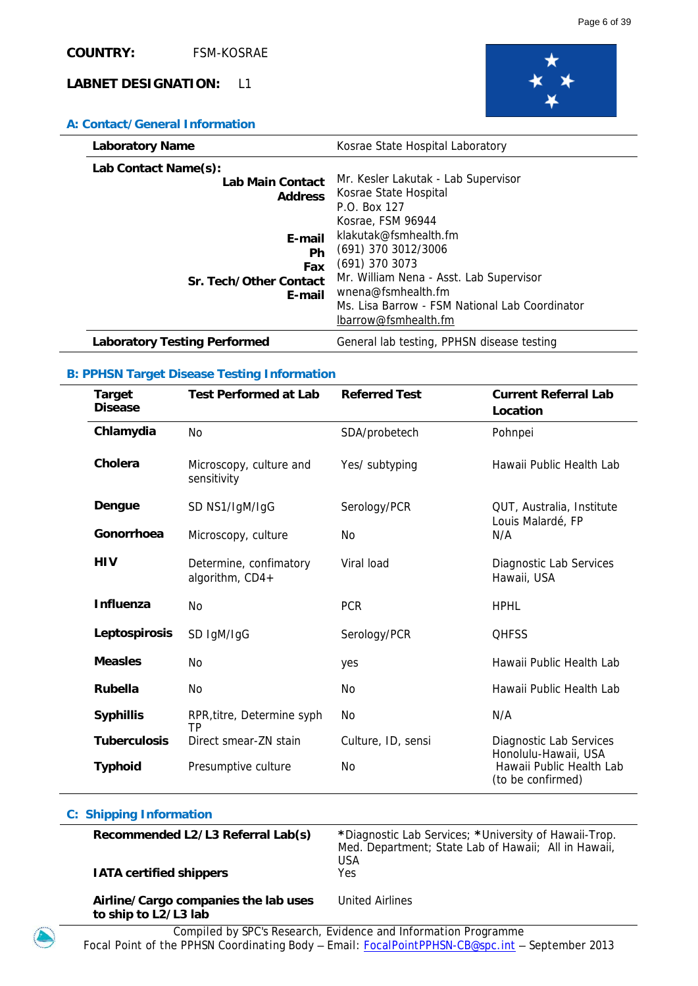

### **A: Contact/General Information**

| <b>Laboratory Name</b>                                         | Kosrae State Hospital Laboratory                                                                                                                                                                                                 |
|----------------------------------------------------------------|----------------------------------------------------------------------------------------------------------------------------------------------------------------------------------------------------------------------------------|
| Lab Contact Name(s):<br>Lab Main Contact<br><b>Address</b>     | Mr. Kesler Lakutak - Lab Supervisor<br>Kosrae State Hospital<br>P.O. Box 127                                                                                                                                                     |
| E-mail<br><b>Ph</b><br>Fax<br>Sr. Tech/Other Contact<br>E-mail | Kosrae, FSM 96944<br>klakutak@fsmhealth.fm<br>(691) 370 3012/3006<br>$(691)$ 370 3073<br>Mr. William Nena - Asst. Lab Supervisor<br>wnena@fsmhealth.fm<br>Ms. Lisa Barrow - FSM National Lab Coordinator<br>lbarrow@fsmhealth.fm |
| <b>Laboratory Testing Performed</b>                            | General lab testing, PPHSN disease testing                                                                                                                                                                                       |

### **B: PPHSN Target Disease Testing Information**

| Target<br><b>Disease</b> | <b>Test Performed at Lab</b>              | <b>Referred Test</b> | <b>Current Referral Lab</b><br>Location         |
|--------------------------|-------------------------------------------|----------------------|-------------------------------------------------|
| Chlamydia                | N <sub>o</sub>                            | SDA/probetech        | Pohnpei                                         |
| Cholera                  | Microscopy, culture and<br>sensitivity    | Yes/ subtyping       | Hawaii Public Health Lab                        |
| Dengue                   | SD NS1/IgM/IgG                            | Serology/PCR         | QUT, Australia, Institute<br>Louis Malardé, FP  |
| Gonorrhoea               | Microscopy, culture                       | No.                  | N/A                                             |
| <b>HIV</b>               | Determine, confimatory<br>algorithm, CD4+ | Viral load           | Diagnostic Lab Services<br>Hawaii, USA          |
| <b>Influenza</b>         | No                                        | <b>PCR</b>           | <b>HPHL</b>                                     |
| Leptospirosis            | SD IgM/IgG                                | Serology/PCR         | <b>QHFSS</b>                                    |
| <b>Measles</b>           | <b>No</b>                                 | yes                  | Hawaii Public Health Lab                        |
| Rubella                  | No                                        | No                   | Hawaii Public Health Lab                        |
| <b>Syphillis</b>         | RPR, titre, Determine syph<br>ТP          | No.                  | N/A                                             |
| <b>Tuberculosis</b>      | Direct smear-ZN stain                     | Culture, ID, sensi   | Diagnostic Lab Services<br>Honolulu-Hawaii, USA |
| <b>Typhoid</b>           | Presumptive culture                       | No                   | Hawaii Public Health Lab<br>(to be confirmed)   |

| Recommended L2/L3 Referral Lab(s)                            | *Diagnostic Lab Services; *University of Hawaii-Trop.<br>Med. Department; State Lab of Hawaii; All in Hawaii,<br><b>USA</b> |
|--------------------------------------------------------------|-----------------------------------------------------------------------------------------------------------------------------|
| <b>IATA certified shippers</b>                               | Yes                                                                                                                         |
| Airline/Cargo companies the lab uses<br>to ship to L2/L3 lab | United Airlines                                                                                                             |
| $\sim$<br>                                                   | -<br>$\cdots$                                                                                                               |

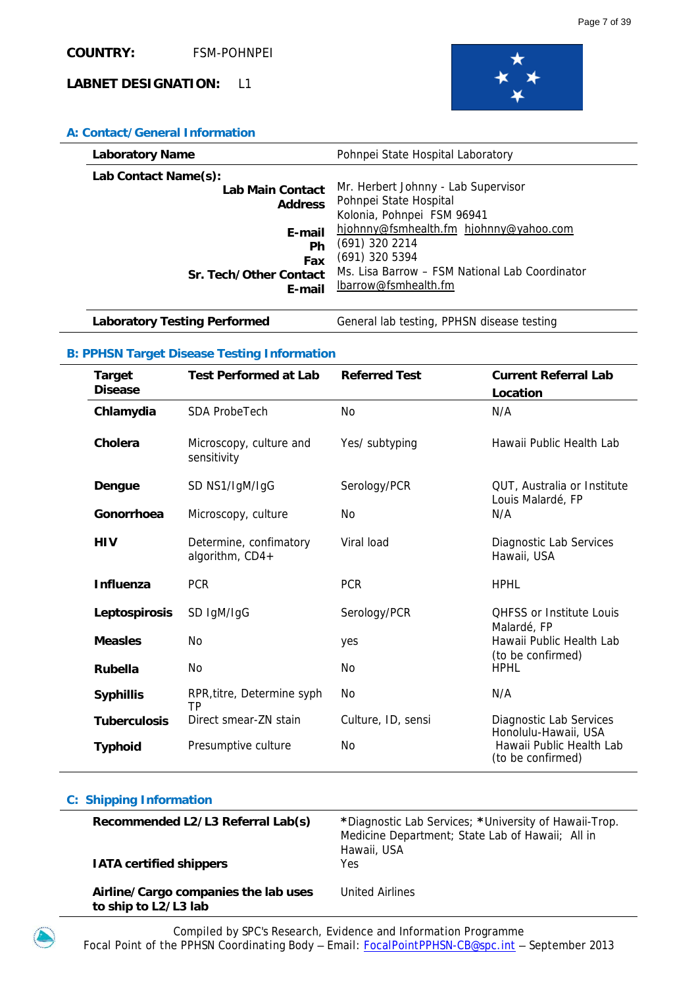

### **A: Contact/General Information**

| <b>Laboratory Name</b> | Pohnpei State Hospital Laboratory              |
|------------------------|------------------------------------------------|
| Lab Contact Name(s):   | Mr. Herbert Johnny - Lab Supervisor            |
| Lab Main Contact       | Pohnpei State Hospital                         |
| <b>Address</b>         | Kolonia, Pohnpei FSM 96941                     |
| E-mail                 | hjohnny@fsmhealth.fm hjohnny@yahoo.com         |
| Ph                     | $(691)$ 320 2214                               |
| Fax                    | (691) 320 5394                                 |
| Sr. Tech/Other Contact | Ms. Lisa Barrow – FSM National Lab Coordinator |
| E-mail                 | lbarrow@fsmhealth.fm                           |

Laboratory Testing Performed **General lab testing, PPHSN disease testing** 

### **B: PPHSN Target Disease Testing Information**

**C: Shipping Information** 

| <b>Target</b><br><b>Disease</b> | <b>Test Performed at Lab</b>              | <b>Referred Test</b> | <b>Current Referral Lab</b><br>Location          |
|---------------------------------|-------------------------------------------|----------------------|--------------------------------------------------|
| Chlamydia                       | <b>SDA ProbeTech</b>                      | No                   | N/A                                              |
| Cholera                         | Microscopy, culture and<br>sensitivity    | Yes/ subtyping       | Hawaii Public Health Lab                         |
| Dengue                          | SD NS1/IgM/IgG                            | Serology/PCR         | QUT, Australia or Institute<br>Louis Malardé, FP |
| Gonorrhoea                      | Microscopy, culture                       | No.                  | N/A                                              |
| <b>HIV</b>                      | Determine, confimatory<br>algorithm, CD4+ | Viral load           | Diagnostic Lab Services<br>Hawaii, USA           |
| <b>Influenza</b>                | <b>PCR</b>                                | <b>PCR</b>           | <b>HPHL</b>                                      |
| Leptospirosis                   | SD IgM/IgG                                | Serology/PCR         | <b>OHFSS or Institute Louis</b>                  |
| <b>Measles</b>                  | <b>No</b>                                 | yes                  | Malardé, FP<br>Hawaii Public Health Lab          |
| Rubella                         | No                                        | No.                  | (to be confirmed)<br><b>HPHL</b>                 |
| <b>Syphillis</b>                | RPR, titre, Determine syph<br>ТP          | No.                  | N/A                                              |
| <b>Tuberculosis</b>             | Direct smear-ZN stain                     | Culture, ID, sensi   | Diagnostic Lab Services<br>Honolulu-Hawaii, USA  |
| <b>Typhoid</b>                  | Presumptive culture                       | No.                  | Hawaii Public Health Lab<br>(to be confirmed)    |

# **Recommended L2/L3 Referral Lab(s) \***Diagnostic Lab Services; **\***University of Hawaii-Trop. Medicine Department; State Lab of Hawaii; All in Hawaii, USA **IATA certified shippers Yes Airline/Cargo companies the lab uses to ship to L2/L3 lab**  United Airlines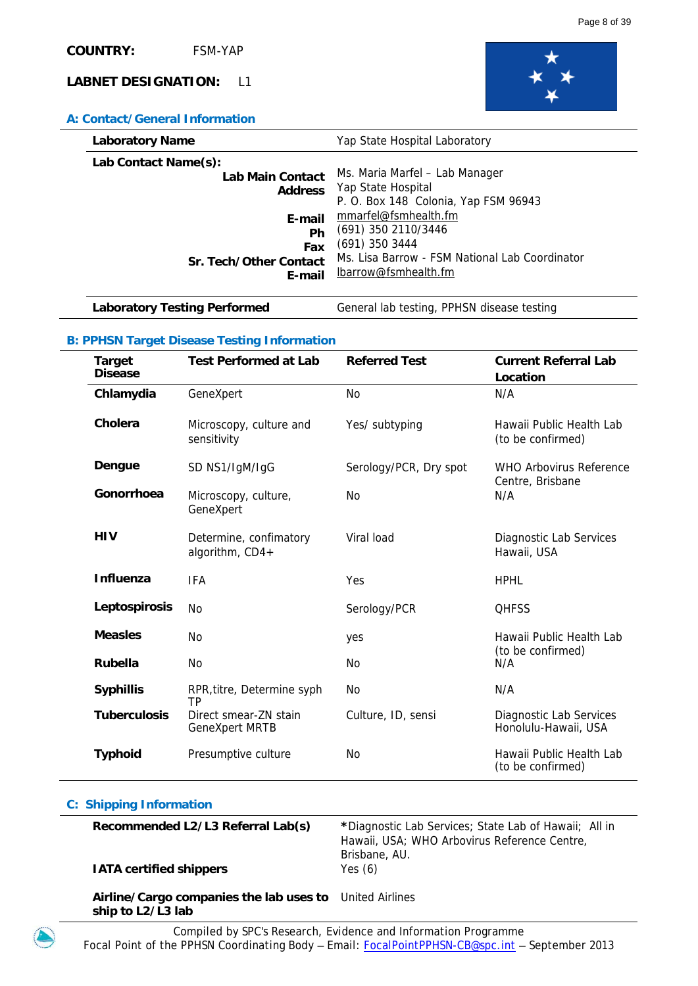

### **A: Contact/General Information**

| <b>Laboratory Name</b> | Yap State Hospital Laboratory                  |
|------------------------|------------------------------------------------|
| Lab Contact Name(s):   | Ms. Maria Marfel - Lab Manager                 |
| Lab Main Contact       | Yap State Hospital                             |
| <b>Address</b>         | P. O. Box 148 Colonia, Yap FSM 96943           |
| E-mail                 | mmarfel@fsmhealth.fm                           |
| Ph                     | (691) 350 2110/3446                            |
| Fax                    | $(691)$ 350 3444                               |
| Sr. Tech/Other Contact | Ms. Lisa Barrow - FSM National Lab Coordinator |
| E-mail                 | lbarrow@fsmhealth.fm                           |

Laboratory Testing Performed **General lab testing, PPHSN disease testing** 

# **B: PPHSN Target Disease Testing Information**

| <b>Target</b><br><b>Disease</b> | <b>Test Performed at Lab</b>                   | <b>Referred Test</b>   | <b>Current Referral Lab</b><br>Location         |
|---------------------------------|------------------------------------------------|------------------------|-------------------------------------------------|
| Chlamydia                       | GeneXpert                                      | <b>No</b>              | N/A                                             |
| Cholera                         | Microscopy, culture and<br>sensitivity         | Yes/ subtyping         | Hawaii Public Health Lab<br>(to be confirmed)   |
| Dengue                          | SD NS1/IgM/IgG                                 | Serology/PCR, Dry spot | WHO Arbovirus Reference<br>Centre, Brisbane     |
| Gonorrhoea                      | Microscopy, culture,<br>GeneXpert              | <b>No</b>              | N/A                                             |
| <b>HIV</b>                      | Determine, confimatory<br>algorithm, CD4+      | Viral load             | Diagnostic Lab Services<br>Hawaii, USA          |
| <b>Influenza</b>                | <b>IFA</b>                                     | Yes                    | <b>HPHL</b>                                     |
| Leptospirosis                   | No                                             | Serology/PCR           | <b>QHFSS</b>                                    |
| <b>Measles</b>                  | <b>No</b>                                      | yes                    | Hawaii Public Health Lab                        |
| <b>Rubella</b>                  | N <sub>0</sub>                                 | <b>No</b>              | (to be confirmed)<br>N/A                        |
| <b>Syphillis</b>                | RPR, titre, Determine syph<br>ТP               | No                     | N/A                                             |
| <b>Tuberculosis</b>             | Direct smear-ZN stain<br><b>GeneXpert MRTB</b> | Culture, ID, sensi     | Diagnostic Lab Services<br>Honolulu-Hawaii, USA |
| <b>Typhoid</b>                  | Presumptive culture                            | <b>No</b>              | Hawaii Public Health Lab<br>(to be confirmed)   |

| Recommended L2/L3 Referral Lab(s)<br><b>IATA certified shippers</b>          | *Diagnostic Lab Services; State Lab of Hawaii; All in<br>Hawaii, USA; WHO Arbovirus Reference Centre,<br>Brisbane, AU.<br>Yes $(6)$ |
|------------------------------------------------------------------------------|-------------------------------------------------------------------------------------------------------------------------------------|
| Airline/Cargo companies the lab uses to United Airlines<br>ship to L2/L3 lab |                                                                                                                                     |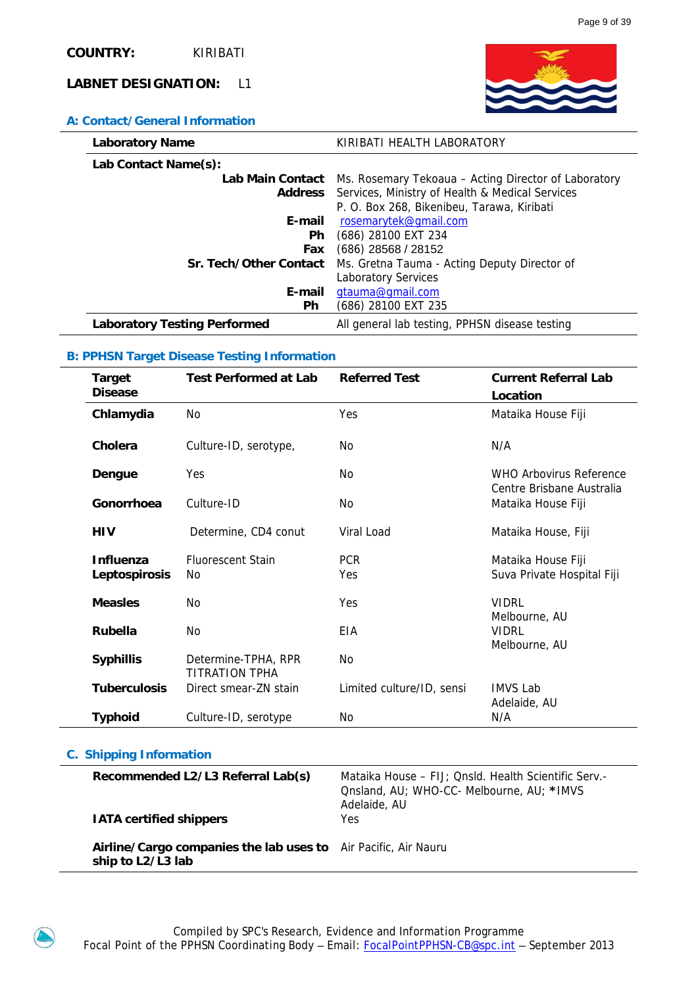

### **A: Contact/General Information**

| <b>Laboratory Name</b>       | KIRIBATI HEALTH LABORATORY                                     |
|------------------------------|----------------------------------------------------------------|
| Lab Contact Name(s):         |                                                                |
| Lab Main Contact             | Ms. Rosemary Tekoaua – Acting Director of Laboratory           |
|                              | <b>Address</b> Services, Ministry of Health & Medical Services |
|                              | P. O. Box 268, Bikenibeu, Tarawa, Kiribati                     |
| E-mail                       | rosemarytek@qmail.com                                          |
| Ph.                          | (686) 28100 EXT 234                                            |
| Fax                          | $(686)$ 28568 / 28152                                          |
| Sr. Tech/Other Contact       | Ms. Gretna Tauma - Acting Deputy Director of                   |
|                              | <b>Laboratory Services</b>                                     |
| E-mail                       | gtauma@gmail.com                                               |
| <b>Ph</b>                    | (686) 28100 EXT 235                                            |
| Laboratory Testing Performed | All general lab testing, PPHSN disease testing                 |

### **B: PPHSN Target Disease Testing Information**

| <b>Target</b><br><b>Disease</b>   | <b>Test Performed at Lab</b>          | <b>Referred Test</b>      | <b>Current Referral Lab</b><br>Location              |
|-----------------------------------|---------------------------------------|---------------------------|------------------------------------------------------|
| Chlamydia                         | N <sub>0</sub>                        | Yes                       | Mataika House Fiji                                   |
| Cholera                           | Culture-ID, serotype,                 | No.                       | N/A                                                  |
| Dengue                            | Yes                                   | No.                       | WHO Arbovirus Reference<br>Centre Brisbane Australia |
| Gonorrhoea                        | Culture-ID                            | No                        | Mataika House Fiji                                   |
| <b>HIV</b>                        | Determine, CD4 conut                  | Viral Load                | Mataika House, Fiji                                  |
| <b>Influenza</b><br>Leptospirosis | <b>Fluorescent Stain</b><br>No        | <b>PCR</b><br>Yes         | Mataika House Fiji<br>Suva Private Hospital Fiji     |
| <b>Measles</b>                    | Nο                                    | Yes                       | <b>VIDRI</b>                                         |
| <b>Rubella</b>                    | No                                    | EIA                       | Melbourne, AU<br><b>VIDRI</b><br>Melbourne, AU       |
| <b>Syphillis</b>                  | Determine-TPHA, RPR<br>TITRATION TPHA | No                        |                                                      |
| <b>Tuberculosis</b>               | Direct smear-7N stain                 | Limited culture/ID, sensi | IMVS Lab<br>Adelaide, AU                             |
| <b>Typhoid</b>                    | Culture-ID, serotype                  | No                        | N/A                                                  |

| Recommended L2/L3 Referral Lab(s)<br><b>IATA certified shippers</b>                 | Mataika House – FIJ; Qnsld. Health Scientific Serv.-<br>Onsland, AU; WHO-CC- Melbourne, AU; *IMVS<br>Adelaide, AU<br><b>Yes</b> |
|-------------------------------------------------------------------------------------|---------------------------------------------------------------------------------------------------------------------------------|
| Airline/Cargo companies the lab uses to Air Pacific, Air Nauru<br>ship to L2/L3 lab |                                                                                                                                 |

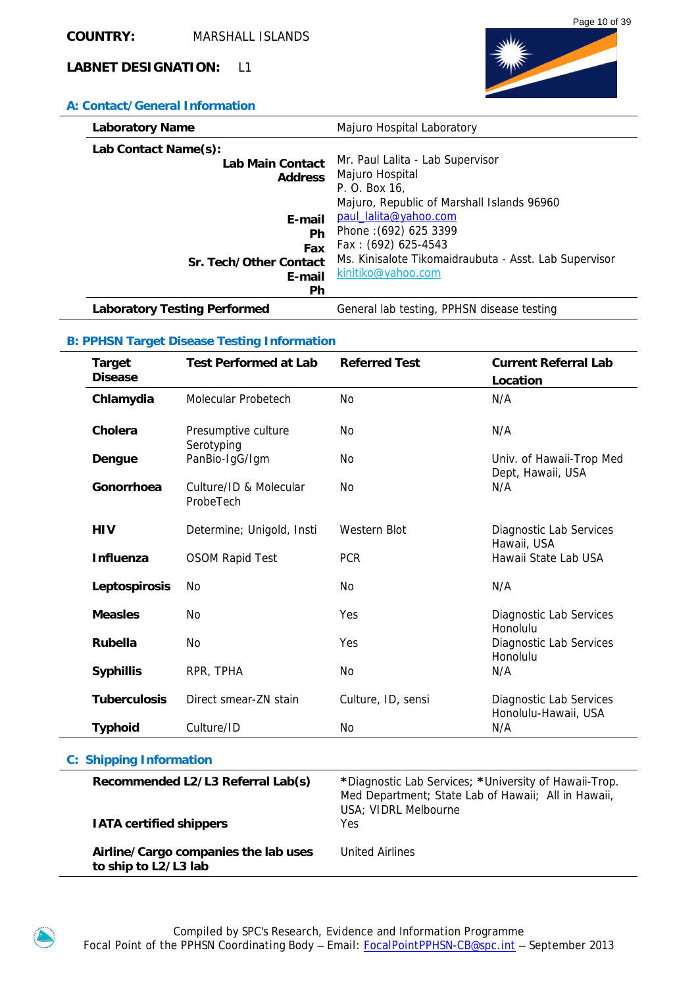# **A: Contact/General Information**

| <b>Laboratory Name</b>              | Majuro Hospital Laboratory                            |
|-------------------------------------|-------------------------------------------------------|
| Lab Contact Name(s):                | Mr. Paul Lalita - Lab Supervisor                      |
| <b>Lab Main Contact</b>             | Majuro Hospital                                       |
| <b>Address</b>                      | P. O. Box 16,                                         |
| E-mail                              | Majuro, Republic of Marshall Islands 96960            |
| Ph                                  | paul_lalita@yahoo.com                                 |
| Fax                                 | Phone: (692) 625 3399                                 |
| Sr. Tech/Other Contact              | Fax: (692) 625-4543                                   |
| E-mail                              | Ms. Kinisalote Tikomaidraubuta - Asst. Lab Supervisor |
| Ph                                  | kinitiko@yahoo.com                                    |
| <b>Laboratory Testing Performed</b> | General lab testing, PPHSN disease testing            |

# **B: PPHSN Target Disease Testing Information**

|                                | <b>Target</b><br><b>Disease</b>                                        | <b>Test Performed at Lab</b>        | <b>Referred Test</b>                                                                                                                 | <b>Current Referral Lab</b>                     |
|--------------------------------|------------------------------------------------------------------------|-------------------------------------|--------------------------------------------------------------------------------------------------------------------------------------|-------------------------------------------------|
|                                |                                                                        |                                     |                                                                                                                                      | Location                                        |
|                                | Chlamydia                                                              | Molecular Probetech                 | <b>No</b>                                                                                                                            | N/A                                             |
|                                | Cholera                                                                | Presumptive culture<br>Serotyping   | <b>No</b>                                                                                                                            | N/A                                             |
|                                | Dengue                                                                 | PanBio-IgG/Igm                      | No                                                                                                                                   | Univ. of Hawaii-Trop Med<br>Dept, Hawaii, USA   |
|                                | Gonorrhoea                                                             | Culture/ID & Molecular<br>ProbeTech | <b>No</b>                                                                                                                            | N/A                                             |
|                                | <b>HIV</b>                                                             | Determine; Unigold, Insti           | <b>Western Blot</b>                                                                                                                  | Diagnostic Lab Services<br>Hawaii, USA          |
|                                | <b>Influenza</b>                                                       | <b>OSOM Rapid Test</b>              | <b>PCR</b>                                                                                                                           | Hawaii State Lab USA                            |
|                                | Leptospirosis                                                          | No                                  | <b>No</b>                                                                                                                            | N/A                                             |
|                                | <b>Measles</b>                                                         | No                                  | Yes                                                                                                                                  | Diagnostic Lab Services<br>Honolulu             |
|                                | <b>Rubella</b>                                                         | <b>No</b>                           | Yes                                                                                                                                  | Diagnostic Lab Services<br>Honolulu             |
|                                | <b>Syphillis</b>                                                       | RPR, TPHA                           | <b>No</b>                                                                                                                            | N/A                                             |
|                                | <b>Tuberculosis</b>                                                    | Direct smear-ZN stain               | Culture, ID, sensi                                                                                                                   | Diagnostic Lab Services<br>Honolulu-Hawaii, USA |
|                                | <b>Typhoid</b>                                                         | Culture/ID                          | <b>No</b>                                                                                                                            | N/A                                             |
| <b>C: Shipping Information</b> |                                                                        |                                     |                                                                                                                                      |                                                 |
|                                | Recommended L2/L3 Referral Lab(s)                                      |                                     | *Diagnostic Lab Services; *University of Hawaii-Trop.<br>Med Department; State Lab of Hawaii; All in Hawaii,<br>USA; VIDRL Melbourne |                                                 |
|                                | <b>IATA certified shippers</b><br>Airline/Cargo companies the lab uses |                                     | Yes                                                                                                                                  |                                                 |
|                                |                                                                        |                                     | <b>United Airlines</b>                                                                                                               |                                                 |

**to ship to L2/L3 lab** 

United Airlines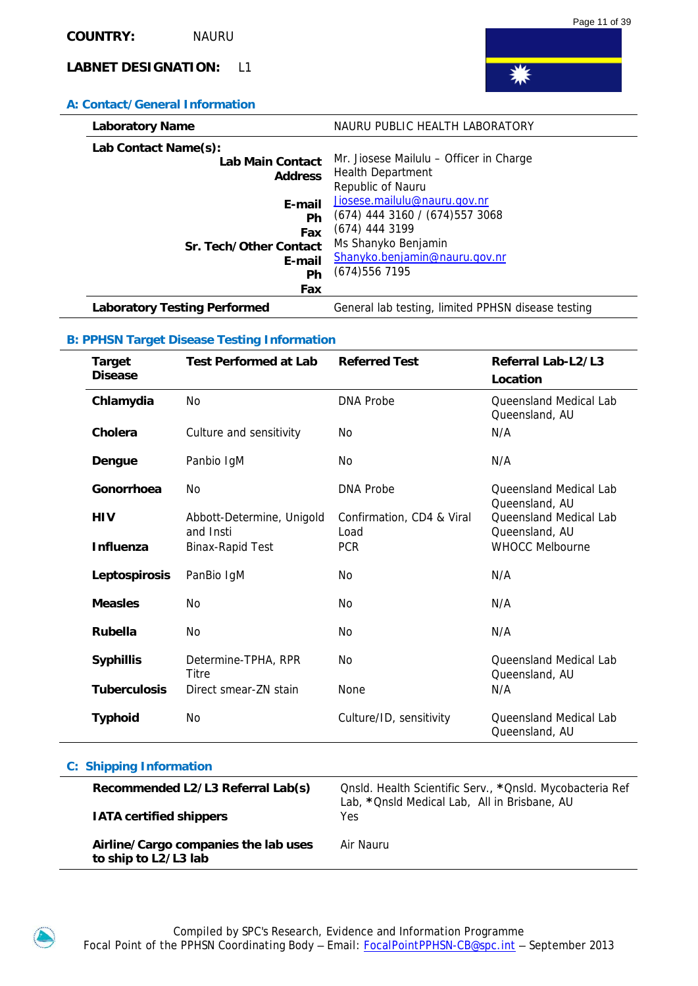### **A: Contact/General Information**

| <b>Laboratory Name</b>                   | NAURU PUBLIC HEALTH LABORATORY                                         |
|------------------------------------------|------------------------------------------------------------------------|
| Lab Contact Name(s):<br>Lab Main Contact | Mr. Jiosese Mailulu - Officer in Charge                                |
| <b>Address</b>                           | <b>Health Department</b><br>Republic of Nauru                          |
| E-mail<br>Ph                             | Jiosese.mailulu@nauru.gov.nr<br>(674) 444 3160 / (674) 557 3068        |
| Fax<br>Sr. Tech/Other Contact            | (674) 444 3199<br>Ms Shanyko Benjamin<br>Shanyko.benjamin@nauru.gov.nr |
| E-mail<br>Ph                             | (674)5567195                                                           |
| Fax                                      |                                                                        |
| <b>Laboratory Testing Performed</b>      | General lab testing, limited PPHSN disease testing                     |

### **B: PPHSN Target Disease Testing Information**

| <b>Target</b><br><b>Disease</b> | <b>Test Performed at Lab</b>           | <b>Referred Test</b>              | Referral Lab-L2/L3<br>Location                  |
|---------------------------------|----------------------------------------|-----------------------------------|-------------------------------------------------|
| Chlamydia                       | N <sub>0</sub>                         | <b>DNA Probe</b>                  | <b>Oueensland Medical Lab</b><br>Queensland, AU |
| Cholera                         | Culture and sensitivity                | <b>No</b>                         | N/A                                             |
| Dengue                          | Panbio IgM                             | No                                | N/A                                             |
| Gonorrhoea                      | N <sub>0</sub>                         | <b>DNA Probe</b>                  | <b>Oueensland Medical Lab</b><br>Queensland, AU |
| <b>HIV</b>                      | Abbott-Determine, Unigold<br>and Insti | Confirmation, CD4 & Viral<br>Load | <b>Oueensland Medical Lab</b><br>Queensland, AU |
| <b>Influenza</b>                | <b>Binax-Rapid Test</b>                | <b>PCR</b>                        | <b>WHOCC Melbourne</b>                          |
| Leptospirosis                   | PanBio IgM                             | No                                | N/A                                             |
| <b>Measles</b>                  | N <sub>0</sub>                         | No                                | N/A                                             |
| <b>Rubella</b>                  | N <sub>0</sub>                         | N <sub>0</sub>                    | N/A                                             |
| <b>Syphillis</b>                | Determine-TPHA, RPR<br>Titre           | No                                | Queensland Medical Lab<br>Queensland, AU        |
| <b>Tuberculosis</b>             | Direct smear-ZN stain                  | None                              | N/A                                             |
| <b>Typhoid</b>                  | N <sub>0</sub>                         | Culture/ID, sensitivity           | Oueensland Medical Lab<br>Queensland, AU        |

| Recommended L2/L3 Referral Lab(s)<br><b>IATA certified shippers</b> | Onsid. Health Scientific Serv., *Onsid. Mycobacteria Ref<br>Lab, *Onsld Medical Lab, All in Brisbane, AU<br>Yes |
|---------------------------------------------------------------------|-----------------------------------------------------------------------------------------------------------------|
| Airline/Cargo companies the lab uses<br>to ship to L2/L3 lab        | Air Nauru                                                                                                       |

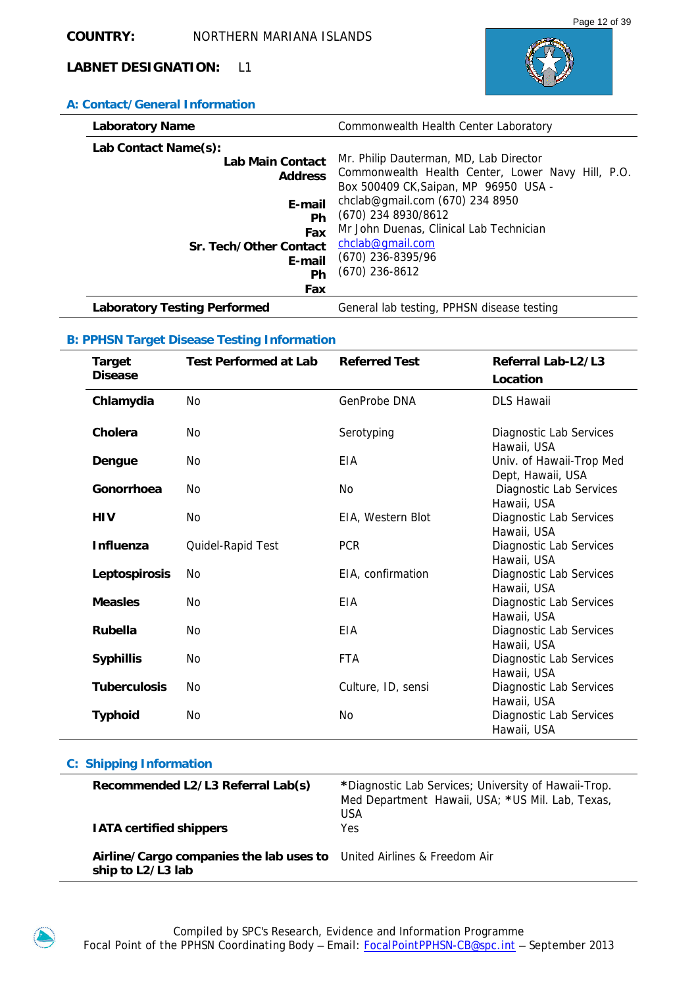

# **A: Contact/General Information**

| <b>Laboratory Name</b>              | Commonwealth Health Center Laboratory             |
|-------------------------------------|---------------------------------------------------|
| Lab Contact Name(s):                |                                                   |
| Lab Main Contact                    | Mr. Philip Dauterman, MD, Lab Director            |
| <b>Address</b>                      | Commonwealth Health Center, Lower Navy Hill, P.O. |
|                                     | Box 500409 CK, Saipan, MP 96950 USA -             |
| E-mail                              | chclab@gmail.com $(670)$ 234 8950                 |
| Ph                                  | (670) 234 8930/8612                               |
| Fax                                 | Mr John Duenas, Clinical Lab Technician           |
| Sr. Tech/Other Contact              | chclab@gmail.com                                  |
| E-mail                              | (670) 236-8395/96                                 |
|                                     | $(670)$ 236-8612                                  |
| Ph                                  |                                                   |
| Fax                                 |                                                   |
| <b>Laboratory Testing Performed</b> | General lab testing, PPHSN disease testing        |

# **B: PPHSN Target Disease Testing Information**

| <b>Target</b><br><b>Disease</b> | <b>Test Performed at Lab</b> | <b>Referred Test</b> | Referral Lab-L2/L3<br>Location                |
|---------------------------------|------------------------------|----------------------|-----------------------------------------------|
| Chlamydia                       | No                           | GenProbe DNA         | <b>DLS Hawaii</b>                             |
| Cholera                         | No                           | Serotyping           | Diagnostic Lab Services<br>Hawaii, USA        |
| Dengue                          | No.                          | EIA                  | Univ. of Hawaii-Trop Med<br>Dept, Hawaii, USA |
| Gonorrhoea                      | No                           | No                   | Diagnostic Lab Services<br>Hawaii, USA        |
| <b>HIV</b>                      | No                           | EIA, Western Blot    | Diagnostic Lab Services<br>Hawaii, USA        |
| <b>Influenza</b>                | Quidel-Rapid Test            | <b>PCR</b>           | Diagnostic Lab Services<br>Hawaii, USA        |
| Leptospirosis                   | No                           | EIA, confirmation    | Diagnostic Lab Services<br>Hawaii, USA        |
| <b>Measles</b>                  | No                           | EIA                  | Diagnostic Lab Services<br>Hawaii, USA        |
| <b>Rubella</b>                  | <b>No</b>                    | <b>EIA</b>           | Diagnostic Lab Services<br>Hawaii, USA        |
| <b>Syphillis</b>                | No                           | <b>FTA</b>           | Diagnostic Lab Services<br>Hawaii, USA        |
| <b>Tuberculosis</b>             | <b>No</b>                    | Culture, ID, sensi   | Diagnostic Lab Services<br>Hawaii, USA        |
| <b>Typhoid</b>                  | No                           | No                   | Diagnostic Lab Services<br>Hawaii, USA        |

| Recommended L2/L3 Referral Lab(s)<br><b>IATA certified shippers</b>                        | *Diagnostic Lab Services; University of Hawaii-Trop.<br>Med Department Hawaii, USA; *US Mil. Lab, Texas,<br><b>USA</b><br>Yes. |
|--------------------------------------------------------------------------------------------|--------------------------------------------------------------------------------------------------------------------------------|
| Airline/Cargo companies the lab uses to United Airlines & Freedom Air<br>ship to L2/L3 lab |                                                                                                                                |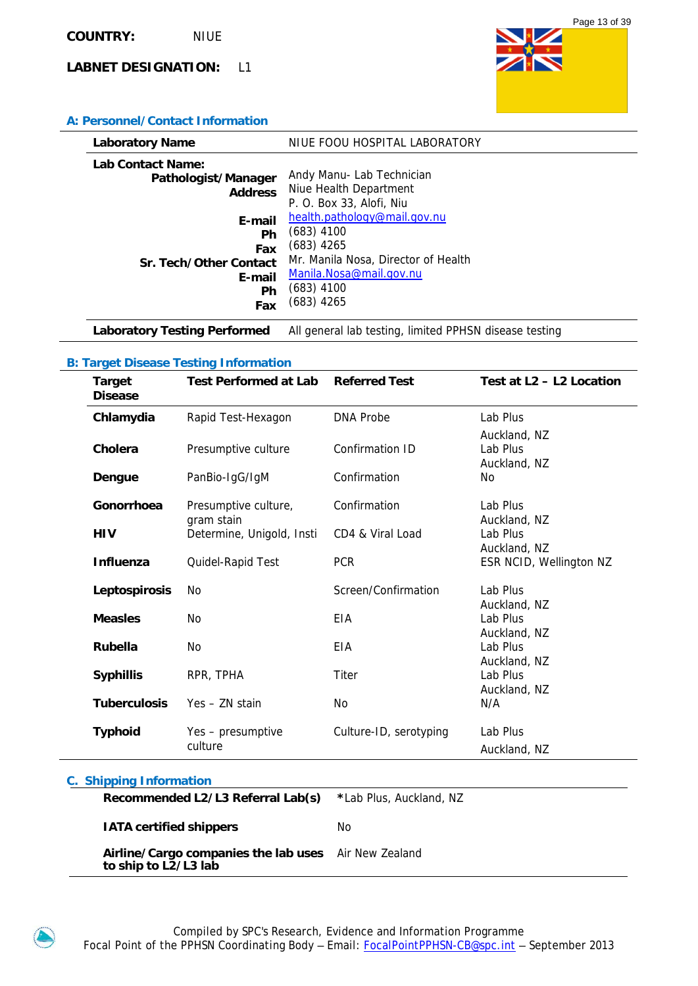

### **A: Personnel/Contact Information**

| <b>Laboratory Name</b>                   |                                                   | NIUE FOOU HOSPITAL LABORATORY                                                                                                                                  |
|------------------------------------------|---------------------------------------------------|----------------------------------------------------------------------------------------------------------------------------------------------------------------|
| Lab Contact Name:<br>Pathologist/Manager | <b>Address</b>                                    | Andy Manu- Lab Technician<br>Niue Health Department<br>P. O. Box 33, Alofi, Niu                                                                                |
| Sr. Tech/Other Contact                   | E-mail<br>Ph<br><b>Fax</b><br>E-mail<br>Ph<br>Fax | health.pathology@mail.gov.nu<br>$(683)$ 4100<br>$(683)$ 4265<br>Mr. Manila Nosa, Director of Health<br>Manila.Nosa@mail.gov.nu<br>$(683)$ 4100<br>$(683)$ 4265 |

Laboratory Testing Performed All general lab testing, limited PPHSN disease testing

### **B: Target Disease Testing Information**

| <b>Target</b><br><b>Disease</b> | <b>Test Performed at Lab</b>       | <b>Referred Test</b>   | Test at L2 - L2 Location                 |
|---------------------------------|------------------------------------|------------------------|------------------------------------------|
| Chlamydia                       | Rapid Test-Hexagon                 | <b>DNA Probe</b>       | Lab Plus                                 |
| Cholera                         | Presumptive culture                | Confirmation ID        | Auckland, NZ<br>Lab Plus<br>Auckland, NZ |
| Dengue                          | PanBio-IgG/IgM                     | Confirmation           | No                                       |
| Gonorrhoea                      | Presumptive culture,<br>gram stain | Confirmation           | Lab Plus<br>Auckland, NZ                 |
| <b>HIV</b>                      | Determine, Unigold, Insti          | CD4 & Viral Load       | Lab Plus                                 |
| Influenza                       | Quidel-Rapid Test                  | <b>PCR</b>             | Auckland, NZ<br>ESR NCID, Wellington NZ  |
| Leptospirosis                   | No                                 | Screen/Confirmation    | Lab Plus<br>Auckland, NZ                 |
| <b>Measles</b>                  | N <sub>0</sub>                     | EIA                    | Lab Plus                                 |
| <b>Rubella</b>                  | <b>No</b>                          | EIA                    | Auckland, NZ<br>Lab Plus<br>Auckland, NZ |
| <b>Syphillis</b>                | RPR, TPHA                          | <b>Titer</b>           | Lab Plus                                 |
| <b>Tuberculosis</b>             | $Yes - ZN stan$                    | N <sub>0</sub>         | Auckland, NZ<br>N/A                      |
| <b>Typhoid</b>                  | Yes – presumptive<br>culture       | Culture-ID, serotyping | Lab Plus<br>Auckland, NZ                 |

| <b>Recommended L2/L3 Referral Lab(s)</b> *Lab Plus, Auckland, NZ             |    |
|------------------------------------------------------------------------------|----|
| <b>IATA certified shippers</b>                                               | No |
| Airline/Cargo companies the lab uses Air New Zealand<br>to ship to L2/L3 lab |    |
|                                                                              |    |

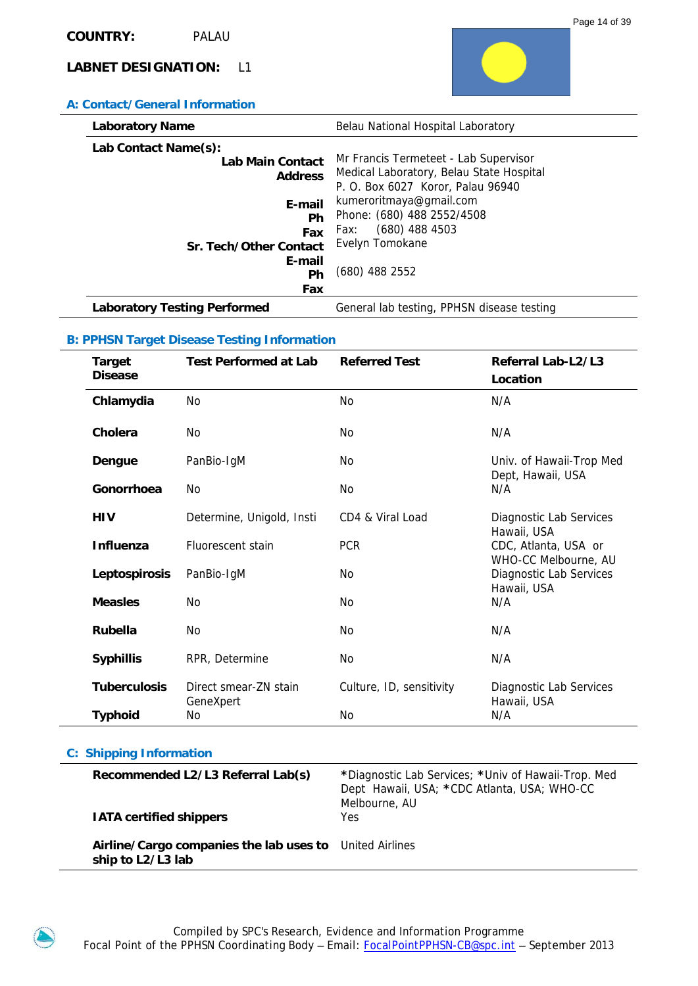### **A: Contact/General Information**

| <b>Laboratory Name</b>              | Belau National Hospital Laboratory         |
|-------------------------------------|--------------------------------------------|
| Lab Contact Name(s):                |                                            |
| <b>Lab Main Contact</b>             | Mr Francis Termeteet - Lab Supervisor      |
| <b>Address</b>                      | Medical Laboratory, Belau State Hospital   |
|                                     | P. O. Box 6027 Koror, Palau 96940          |
| E-mail                              | kumeroritmaya@gmail.com                    |
| Ph                                  | Phone: (680) 488 2552/4508                 |
| Fax                                 | $(680)$ 488 4503<br>Fax:                   |
| Sr. Tech/Other Contact              | Evelyn Tomokane                            |
| E-mail                              |                                            |
| <b>Ph</b>                           | (680) 488 2552                             |
| Fax                                 |                                            |
| <b>Laboratory Testing Performed</b> | General lab testing, PPHSN disease testing |

### **B: PPHSN Target Disease Testing Information**

| <b>Target</b><br><b>Disease</b> | <b>Test Performed at Lab</b> | <b>Referred Test</b>     | Referral Lab-L2/L3<br>Location                  |
|---------------------------------|------------------------------|--------------------------|-------------------------------------------------|
| Chlamydia                       | <b>No</b>                    | <b>No</b>                | N/A                                             |
| Cholera                         | No                           | No.                      | N/A                                             |
| Dengue                          | PanBio-IgM                   | No.                      | Univ. of Hawaii-Trop Med                        |
| Gonorrhoea                      | No                           | No                       | Dept, Hawaii, USA<br>N/A                        |
| <b>HIV</b>                      | Determine, Unigold, Insti    | CD4 & Viral Load         | Diagnostic Lab Services                         |
| <b>Influenza</b>                | Fluorescent stain            | <b>PCR</b>               | Hawaii, USA<br>CDC, Atlanta, USA or             |
| Leptospirosis                   | PanBio-IgM                   | No.                      | WHO-CC Melbourne, AU<br>Diagnostic Lab Services |
| <b>Measles</b>                  | No                           | No.                      | Hawaii, USA<br>N/A                              |
| <b>Rubella</b>                  | No                           | No.                      | N/A                                             |
| <b>Syphillis</b>                | RPR, Determine               | No.                      | N/A                                             |
| <b>Tuberculosis</b>             | Direct smear-ZN stain        | Culture, ID, sensitivity | Diagnostic Lab Services                         |
| <b>Typhoid</b>                  | GeneXpert<br>No              | No                       | Hawaii, USA<br>N/A                              |

| Recommended L2/L3 Referral Lab(s)<br><b>IATA certified shippers</b>          | *Diagnostic Lab Services; *Univ of Hawaii-Trop. Med<br>Dept Hawaii, USA; *CDC Atlanta, USA; WHO-CC<br>Melbourne, AU<br>Yes |
|------------------------------------------------------------------------------|----------------------------------------------------------------------------------------------------------------------------|
| Airline/Cargo companies the lab uses to United Airlines<br>ship to L2/L3 lab |                                                                                                                            |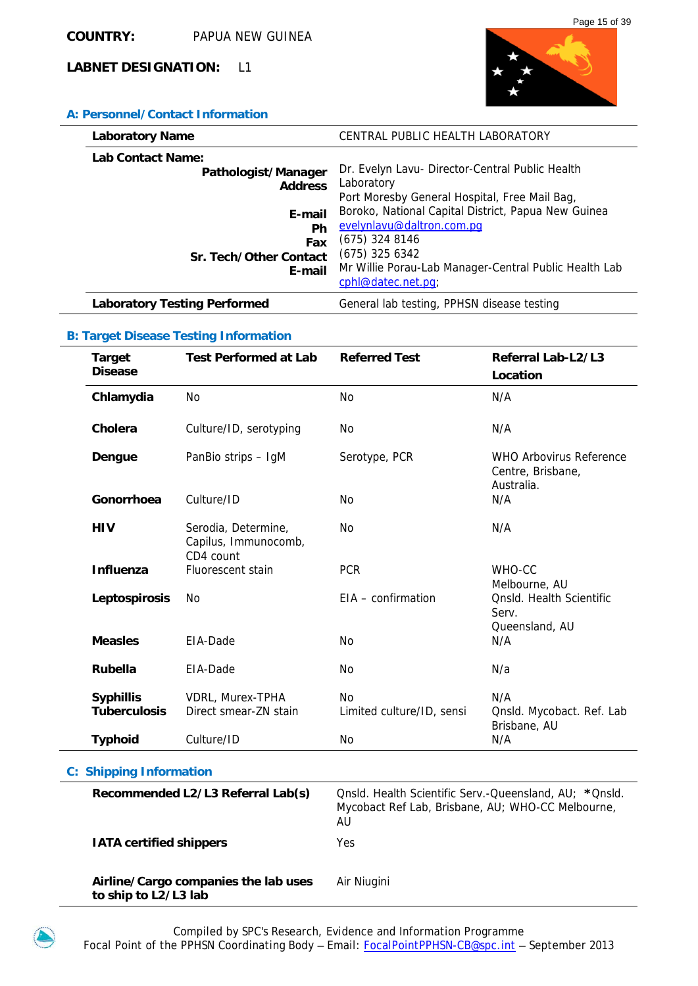

# **A: Personnel/Contact Information**

| <b>Laboratory Name</b>                                                                                                       | CENTRAL PUBLIC HEALTH LABORATORY                                                                                                                                                                                                                                                                                          |
|------------------------------------------------------------------------------------------------------------------------------|---------------------------------------------------------------------------------------------------------------------------------------------------------------------------------------------------------------------------------------------------------------------------------------------------------------------------|
| <b>Lab Contact Name:</b><br>Pathologist/Manager<br><b>Address</b><br>E-mail<br>Ph<br>Fax<br>Sr. Tech/Other Contact<br>E-mail | Dr. Evelyn Lavu- Director-Central Public Health<br>Laboratory<br>Port Moresby General Hospital, Free Mail Bag,<br>Boroko, National Capital District, Papua New Guinea<br>evelynlavu@daltron.com.pq<br>$(675)$ 324 8146<br>$(675)$ 325 6342<br>Mr Willie Porau-Lab Manager-Central Public Health Lab<br>cphl@datec.net.pq; |
| <b>Laboratory Testing Performed</b>                                                                                          | General lab testing, PPHSN disease testing                                                                                                                                                                                                                                                                                |

# **B: Target Disease Testing Information**

|  | <b>Target</b><br><b>Disease</b>                                     | <b>Test Performed at Lab</b>                             | <b>Referred Test</b>                                    | Referral Lab-L2/L3<br>Location                                    |
|--|---------------------------------------------------------------------|----------------------------------------------------------|---------------------------------------------------------|-------------------------------------------------------------------|
|  | Chlamydia                                                           | No                                                       | No                                                      | N/A                                                               |
|  | Cholera                                                             | Culture/ID, serotyping                                   | No                                                      | N/A                                                               |
|  | Dengue                                                              | PanBio strips - IgM                                      | Serotype, PCR                                           | <b>WHO Arbovirus Reference</b><br>Centre, Brisbane,<br>Australia. |
|  | Gonorrhoea                                                          | Culture/ID                                               | No                                                      | N/A                                                               |
|  | <b>HIV</b>                                                          | Serodia, Determine,<br>Capilus, Immunocomb,<br>CD4 count | No                                                      | N/A                                                               |
|  | <b>Influenza</b>                                                    | Fluorescent stain                                        | <b>PCR</b>                                              | WHO-CC<br>Melbourne, AU                                           |
|  | Leptospirosis                                                       | <b>No</b>                                                | $EIA -$ confirmation                                    | <b>Onsld. Health Scientific</b><br>Serv.<br>Queensland, AU        |
|  | <b>Measles</b>                                                      | EIA-Dade                                                 | <b>No</b>                                               | N/A                                                               |
|  | <b>Rubella</b>                                                      | EIA-Dade                                                 | <b>No</b>                                               | N/a                                                               |
|  | <b>Syphillis</b><br><b>Tuberculosis</b>                             | VDRL, Murex-TPHA<br>Direct smear-ZN stain                | No<br>Limited culture/ID, sensi                         | N/A<br>Qnsld. Mycobact. Ref. Lab<br>Brisbane, AU                  |
|  | <b>Typhoid</b>                                                      | Culture/ID                                               | No                                                      | N/A                                                               |
|  | <b>C: Shipping Information</b>                                      |                                                          |                                                         |                                                                   |
|  | Recommended L2/L3 Referral Lab(s)<br><b>IATA certified shippers</b> |                                                          | Mycobact Ref Lab, Brisbane, AU; WHO-CC Melbourne,<br>AU | Onsid. Health Scientific Serv.-Queensland, AU; * Onsid.           |
|  |                                                                     |                                                          | Yes                                                     |                                                                   |

 **Airline/Cargo companies the lab uses to ship to L2/L3 lab**  Air Niugini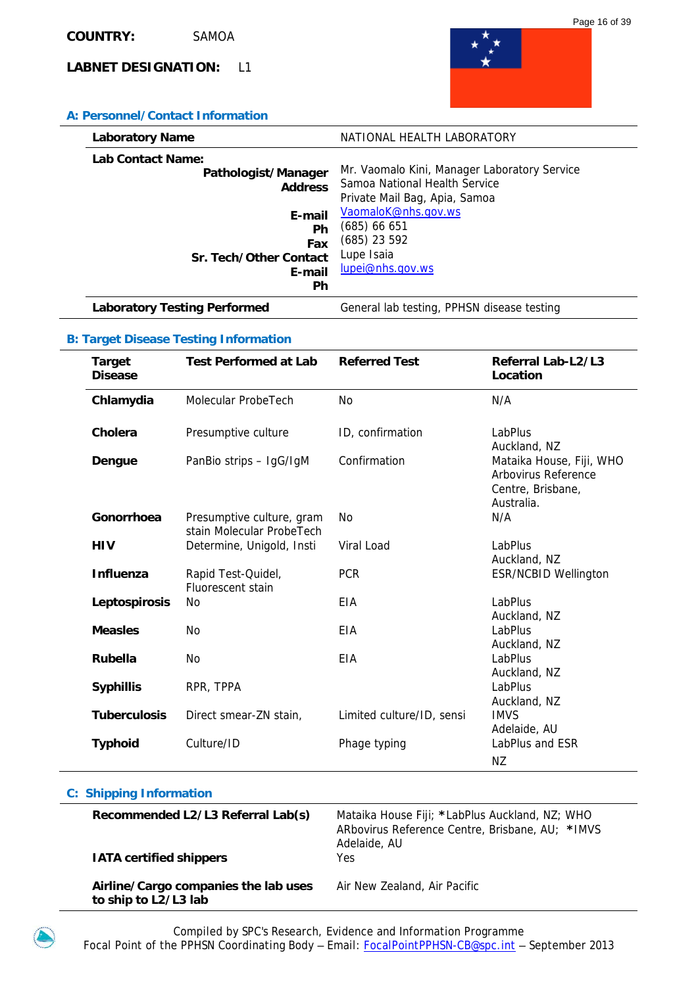

# **A: Personnel/Contact Information**

| <b>Laboratory Name</b>                                                                                                      | NATIONAL HEALTH LABORATORY                                                                                                                                                                              |
|-----------------------------------------------------------------------------------------------------------------------------|---------------------------------------------------------------------------------------------------------------------------------------------------------------------------------------------------------|
| Lab Contact Name:<br>Pathologist/Manager<br><b>Address</b><br>E-mail<br>Ph<br>Fax<br>Sr. Tech/Other Contact<br>E-mail<br>Ph | Mr. Vaomalo Kini, Manager Laboratory Service<br>Samoa National Health Service<br>Private Mail Bag, Apia, Samoa<br>VaomaloK@nhs.gov.ws<br>(685) 66 651<br>(685) 23 592<br>Lupe Isaia<br>lupei@nhs.gov.ws |
| <b>Laboratory Testing Performed</b>                                                                                         | General lab testing, PPHSN disease testing                                                                                                                                                              |

### **B: Target Disease Testing Information**

| <b>Target</b><br><b>Disease</b> | <b>Test Performed at Lab</b>                           | <b>Referred Test</b>      | Referral Lab-L2/L3<br>Location                                                     |
|---------------------------------|--------------------------------------------------------|---------------------------|------------------------------------------------------------------------------------|
| Chlamydia                       | Molecular ProbeTech                                    | N <sub>O</sub>            | N/A                                                                                |
| Cholera                         | Presumptive culture                                    | ID, confirmation          | LabPlus<br>Auckland, NZ                                                            |
| Dengue                          | PanBio strips - IgG/IgM                                | Confirmation              | Mataika House, Fiji, WHO<br>Arbovirus Reference<br>Centre, Brisbane,<br>Australia. |
| Gonorrhoea                      | Presumptive culture, gram<br>stain Molecular ProbeTech | No                        | N/A                                                                                |
| <b>HIV</b>                      | Determine, Unigold, Insti                              | Viral Load                | LabPlus<br>Auckland, NZ                                                            |
| <b>Influenza</b>                | Rapid Test-Quidel,<br><b>Fluorescent stain</b>         | <b>PCR</b>                | <b>ESR/NCBID Wellington</b>                                                        |
| Leptospirosis                   | No                                                     | EIA                       | <b>LabPlus</b><br>Auckland, NZ                                                     |
| <b>Measles</b>                  | <b>No</b>                                              | EIA                       | LabPlus<br>Auckland, NZ                                                            |
| Rubella                         | <b>No</b>                                              | EIA                       | LabPlus<br>Auckland, NZ                                                            |
| <b>Syphillis</b>                | RPR, TPPA                                              |                           | LabPlus<br>Auckland, NZ                                                            |
| <b>Tuberculosis</b>             | Direct smear-ZN stain.                                 | Limited culture/ID, sensi | <b>IMVS</b><br>Adelaide, AU                                                        |
| <b>Typhoid</b>                  | Culture/ID                                             | Phage typing              | LabPlus and ESR<br>ΝZ                                                              |

| Recommended L2/L3 Referral Lab(s)<br><b>IATA certified shippers</b> | Mataika House Fiji; *LabPlus Auckland, NZ; WHO<br>ARbovirus Reference Centre, Brisbane, AU; *IMVS<br>Adelaide, AU<br>Yes. |
|---------------------------------------------------------------------|---------------------------------------------------------------------------------------------------------------------------|
| Airline/Cargo companies the lab uses<br>to ship to L2/L3 lab        | Air New Zealand, Air Pacific                                                                                              |

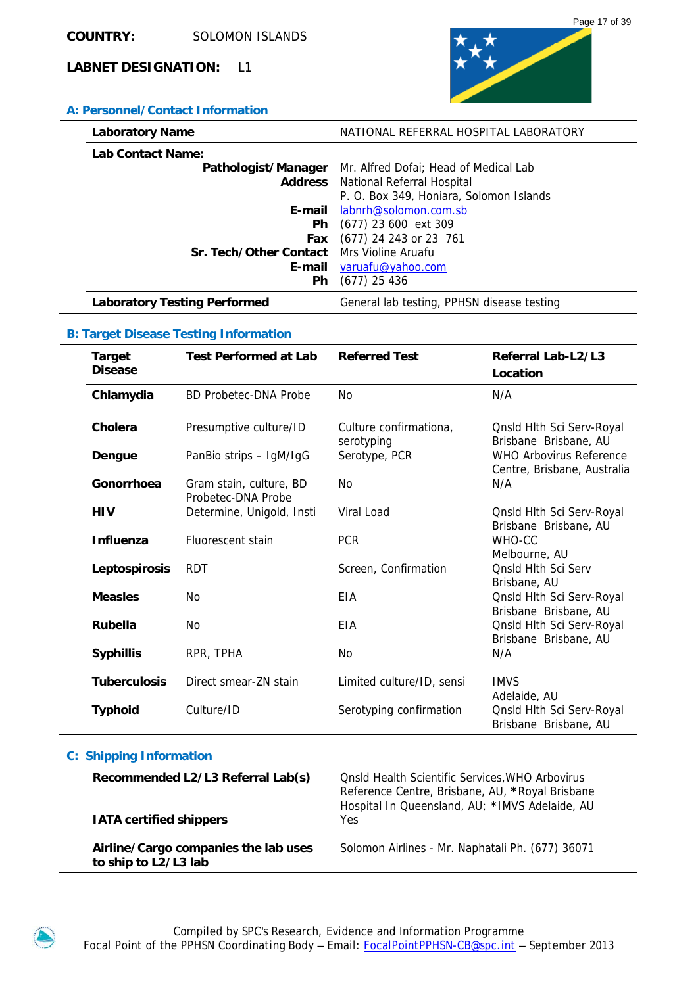

# **A: Personnel/Contact Information**

| <b>Laboratory Name</b>                    | NATIONAL REFERRAL HOSPITAL LABORATORY      |
|-------------------------------------------|--------------------------------------------|
| Lab Contact Name:                         |                                            |
| Pathologist/Manager                       | Mr. Alfred Dofai; Head of Medical Lab      |
|                                           | <b>Address</b> National Referral Hospital  |
|                                           | P. O. Box 349, Honiara, Solomon Islands    |
|                                           | <b>E-mail</b> labnrh@solomon.com.sb        |
| <b>Ph</b>                                 | $(677)$ 23 600 ext 309                     |
| Fax                                       | (677) 24 243 or 23 761                     |
| Sr. Tech/Other Contact Mrs Violine Aruafu |                                            |
|                                           | E-mail varuafu@yahoo.com                   |
| Ph                                        | $(677)$ 25 436                             |
| <b>Laboratory Testing Performed</b>       | General lab testing, PPHSN disease testing |

### **B: Target Disease Testing Information**

| <b>Target</b><br><b>Disease</b> | <b>Test Performed at Lab</b>                  | <b>Referred Test</b>                 | Referral Lab-L2/L3<br>Location                                |
|---------------------------------|-----------------------------------------------|--------------------------------------|---------------------------------------------------------------|
| Chlamydia                       | BD Probetec-DNA Probe                         | No                                   | N/A                                                           |
| Cholera                         | Presumptive culture/ID                        | Culture confirmationa,<br>serotyping | Qnsld Hith Sci Serv-Royal<br>Brisbane Brisbane, AU            |
| Dengue                          | PanBio strips - IgM/IgG                       | Serotype, PCR                        | <b>WHO Arbovirus Reference</b><br>Centre, Brisbane, Australia |
| Gonorrhoea                      | Gram stain, culture, BD<br>Probetec-DNA Probe | N <sub>O</sub>                       | N/A                                                           |
| <b>HIV</b>                      | Determine, Unigold, Insti                     | Viral Load                           | <b>Qnsld Hlth Sci Serv-Royal</b><br>Brisbane Brisbane, AU     |
| <b>Influenza</b>                | Fluorescent stain                             | <b>PCR</b>                           | WHO-CC<br>Melbourne, AU                                       |
| Leptospirosis                   | <b>RDT</b>                                    | Screen, Confirmation                 | <b>Qnsld Hlth Sci Serv</b><br>Brisbane, AU                    |
| <b>Measles</b>                  | N <sub>0</sub>                                | EIA                                  | Onsld Hlth Sci Serv-Royal<br>Brisbane Brisbane, AU            |
| <b>Rubella</b>                  | N <sub>0</sub>                                | EIA                                  | Qnsld Hlth Sci Serv-Royal<br>Brisbane Brisbane, AU            |
| <b>Syphillis</b>                | RPR, TPHA                                     | No                                   | N/A                                                           |
| <b>Tuberculosis</b>             | Direct smear-ZN stain                         | Limited culture/ID, sensi            | <b>IMVS</b><br>Adelaide, AU                                   |
| <b>Typhoid</b>                  | Culture/ID                                    | Serotyping confirmation              | Qnsld Hlth Sci Serv-Royal<br>Brisbane Brisbane, AU            |

| Recommended L2/L3 Referral Lab(s)<br><b>IATA certified shippers</b> | <b>Onsid Health Scientific Services, WHO Arbovirus</b><br>Reference Centre, Brisbane, AU, *Royal Brisbane<br>Hospital In Queensland, AU; *IMVS Adelaide, AU<br>Yes |
|---------------------------------------------------------------------|--------------------------------------------------------------------------------------------------------------------------------------------------------------------|
| Airline/Cargo companies the lab uses<br>to ship to L2/L3 lab        | Solomon Airlines - Mr. Naphatali Ph. (677) 36071                                                                                                                   |

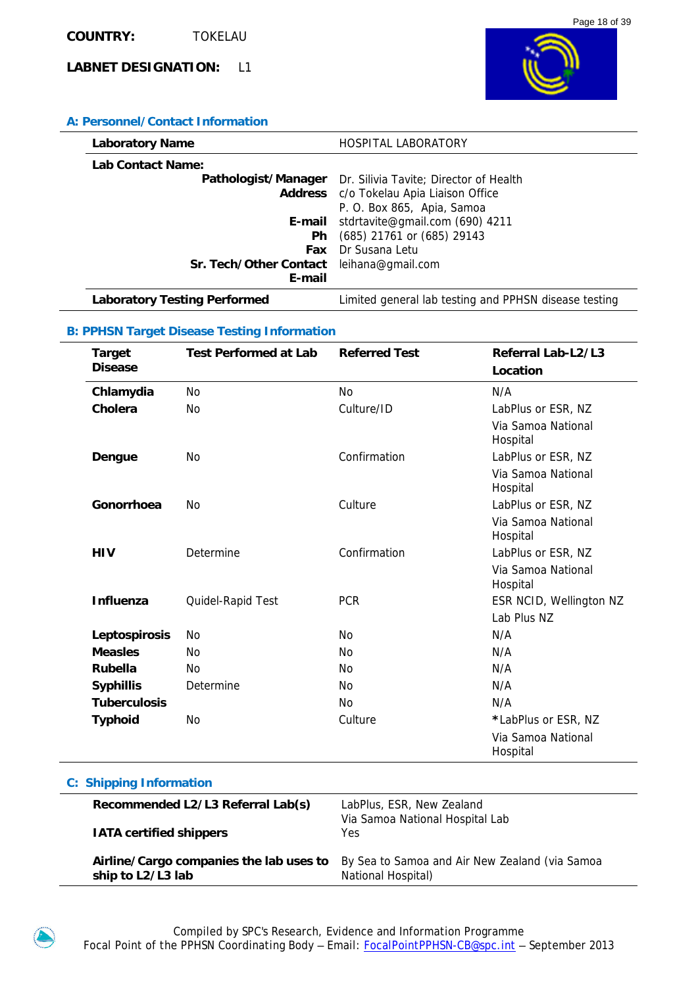



### **A: Personnel/Contact Information**

| <b>Laboratory Name</b>                   | <b>HOSPITAL LABORATORY</b>                                 |
|------------------------------------------|------------------------------------------------------------|
| Lab Contact Name:                        |                                                            |
|                                          | Pathologist/Manager Dr. Silivia Tavite; Director of Health |
|                                          | Address c/o Tokelau Apia Liaison Office                    |
|                                          | P. O. Box 865, Apia, Samoa                                 |
| E-mail                                   | stdrtavite@gmail.com (690) 4211                            |
| Ph.                                      | (685) 21761 or (685) 29143                                 |
| <b>Fax</b>                               | Dr Susana Letu                                             |
| Sr. Tech/Other Contact leihana@gmail.com |                                                            |
| E-mail                                   |                                                            |
| <b>Laboratory Testing Performed</b>      | Limited general lab testing and PPHSN disease testing      |

# **B: PPHSN Target Disease Testing Information**

|            | <b>Target</b>       | <b>Test Performed at Lab</b> | <b>Referred Test</b> | Referral Lab-L2/L3             |
|------------|---------------------|------------------------------|----------------------|--------------------------------|
|            | <b>Disease</b>      |                              |                      | Location                       |
|            | Chlamydia           | No.                          | <b>No</b>            | N/A                            |
|            | Cholera             | <b>No</b>                    | Culture/ID           | LabPlus or ESR, NZ             |
|            |                     |                              |                      | Via Samoa National<br>Hospital |
|            | Dengue              | N <sub>0</sub>               | Confirmation         | LabPlus or ESR, NZ             |
|            |                     |                              |                      | Via Samoa National<br>Hospital |
|            | Gonorrhoea          | N <sub>0</sub>               | Culture              | LabPlus or ESR, NZ             |
|            |                     |                              |                      | Via Samoa National<br>Hospital |
| <b>HIV</b> |                     | Determine                    | Confirmation         | LabPlus or ESR, NZ             |
|            |                     |                              |                      | Via Samoa National<br>Hospital |
|            | <b>Influenza</b>    | Quidel-Rapid Test            | <b>PCR</b>           | ESR NCID, Wellington NZ        |
|            |                     |                              |                      | Lab Plus NZ                    |
|            | Leptospirosis       | No.                          | No                   | N/A                            |
|            | <b>Measles</b>      | N <sub>0</sub>               | No                   | N/A                            |
|            | <b>Rubella</b>      | N <sub>0</sub>               | No                   | N/A                            |
|            | <b>Syphillis</b>    | Determine                    | <b>No</b>            | N/A                            |
|            | <b>Tuberculosis</b> |                              | <b>No</b>            | N/A                            |
|            | <b>Typhoid</b>      | <b>No</b>                    | Culture              | *LabPlus or ESR, NZ            |
|            |                     |                              |                      | Via Samoa National<br>Hospital |

| Recommended L2/L3 Referral Lab(s)<br><b>IATA certified shippers</b> | LabPlus, ESR, New Zealand<br>Via Samoa National Hospital Lab<br>Yes |
|---------------------------------------------------------------------|---------------------------------------------------------------------|
| Airline/Cargo companies the lab uses to                             | By Sea to Samoa and Air New Zealand (via Samoa                      |
| ship to L2/L3 lab                                                   | National Hospital)                                                  |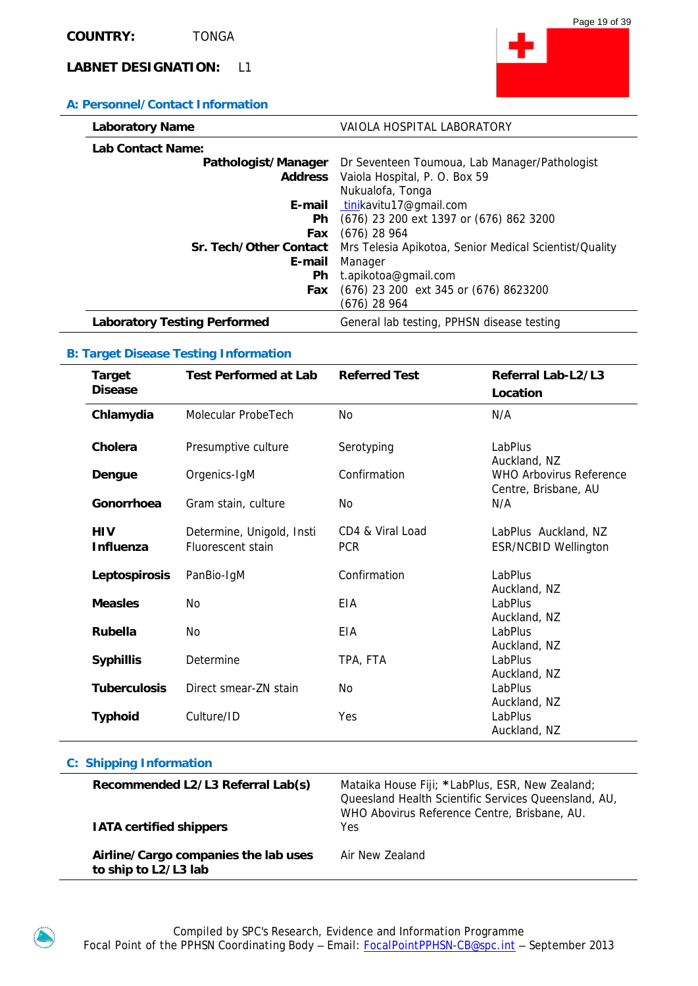### **A: Personnel/Contact Information**

| <b>Laboratory Name</b>              | VAIOLA HOSPITAL LABORATORY                                        |
|-------------------------------------|-------------------------------------------------------------------|
| Lab Contact Name:                   |                                                                   |
|                                     | Pathologist/Manager Dr Seventeen Toumoua, Lab Manager/Pathologist |
|                                     | Address Vaiola Hospital, P. O. Box 59                             |
|                                     | Nukualofa, Tonga                                                  |
| E-mail                              | tinikavitu17@gmail.com                                            |
| Ph.                                 | (676) 23 200 ext 1397 or (676) 862 3200                           |
| Fax                                 | $(676)$ 28 964                                                    |
| Sr. Tech/Other Contact              | Mrs Telesia Apikotoa, Senior Medical Scientist/Quality            |
| E-mail                              | Manager                                                           |
| Ph                                  | t.apikotoa@gmail.com                                              |
| Fax                                 | (676) 23 200 ext 345 or (676) 8623200                             |
|                                     | (676) 28 964                                                      |
| <b>Laboratory Testing Performed</b> | General lab testing, PPHSN disease testing                        |

### **B: Target Disease Testing Information**

| <b>Target</b><br><b>Disease</b> | <b>Test Performed at Lab</b>                   | <b>Referred Test</b>           | Referral Lab-L2/L3<br>Location                         |
|---------------------------------|------------------------------------------------|--------------------------------|--------------------------------------------------------|
| Chlamydia                       | Molecular ProbeTech                            | No                             | N/A                                                    |
| Cholera                         | Presumptive culture                            | Serotyping                     | LabPlus<br>Auckland, NZ                                |
| Dengue                          | Orgenics-IgM                                   | Confirmation                   | <b>WHO Arbovirus Reference</b><br>Centre, Brisbane, AU |
| Gonorrhoea                      | Gram stain, culture                            | No                             | N/A                                                    |
| <b>HIV</b><br>Influenza         | Determine, Unigold, Insti<br>Fluorescent stain | CD4 & Viral Load<br><b>PCR</b> | LabPlus Auckland, NZ<br><b>ESR/NCBID Wellington</b>    |
| Leptospirosis                   | PanBio-IgM                                     | Confirmation                   | LabPlus<br>Auckland, NZ                                |
| <b>Measles</b>                  | N <sub>O</sub>                                 | EIA                            | LabPlus<br>Auckland, NZ                                |
| Rubella                         | N <sub>O</sub>                                 | EIA                            | LabPlus<br>Auckland, NZ                                |
| <b>Syphillis</b>                | Determine                                      | TPA, FTA                       | LabPlus<br>Auckland, NZ                                |
| <b>Tuberculosis</b>             | Direct smear-ZN stain                          | <b>No</b>                      | LabPlus<br>Auckland, NZ                                |
| <b>Typhoid</b>                  | Culture/ID                                     | Yes                            | LabPlus<br>Auckland, NZ                                |

### **C: Shipping Information**

| Recommended L2/L3 Referral Lab(s)<br><b>IATA certified shippers</b> | Mataika House Fiji; *LabPlus, ESR, New Zealand;<br>Queesland Health Scientific Services Queensland, AU,<br>WHO Abovirus Reference Centre, Brisbane, AU.<br><b>Yes</b> |
|---------------------------------------------------------------------|-----------------------------------------------------------------------------------------------------------------------------------------------------------------------|
| Airline/Cargo companies the lab uses<br>to ship to L2/L3 lab        | Air New Zealand                                                                                                                                                       |

Compiled by SPC's Research, Evidence and Information Programme Focal Point of the PPHSN Coordinating Body – Email: **FocalPointPPHSN-CB@spc.int** – September 2013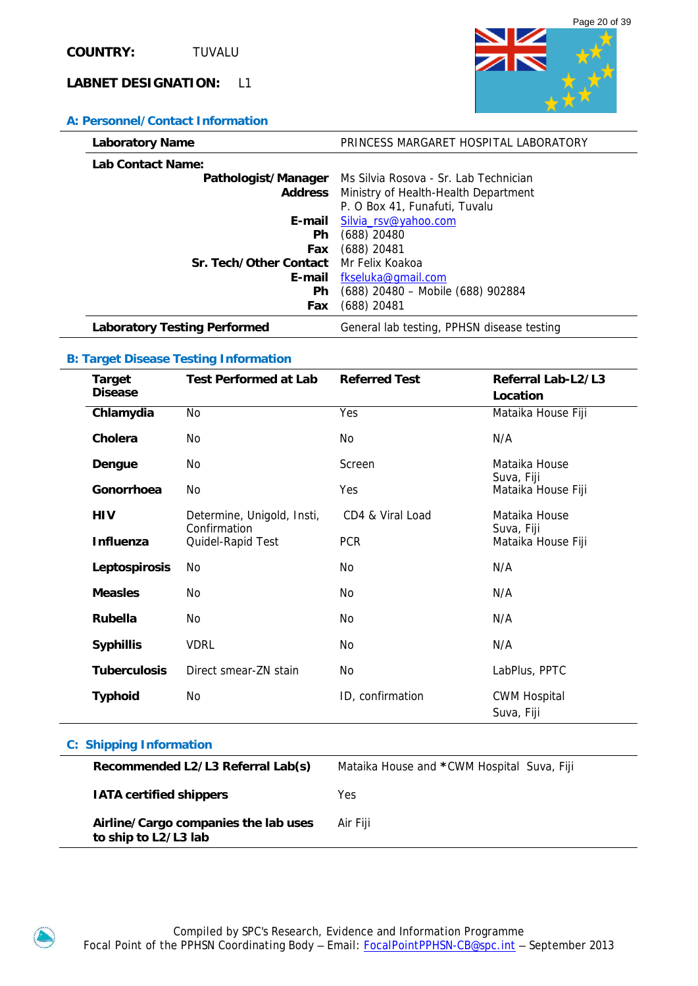### **A: Personnel/Contact Information**



| <b>Laboratory Name</b>                 | PRINCESS MARGARET HOSPITAL LABORATORY                     |
|----------------------------------------|-----------------------------------------------------------|
| <b>Lab Contact Name:</b>               |                                                           |
|                                        | Pathologist/Manager Ms Silvia Rosova - Sr. Lab Technician |
|                                        | <b>Address</b> Ministry of Health-Health Department       |
|                                        | P. O Box 41, Funafuti, Tuvalu                             |
|                                        | E-mail Silvia_rsv@yahoo.com                               |
| <b>Ph</b>                              | $(688)$ 20480                                             |
| Fax                                    | $(688)$ 20481                                             |
| Sr. Tech/Other Contact Mr Felix Koakoa |                                                           |
|                                        | <b>E-mail</b> fkseluka@gmail.com                          |
| <b>Ph</b>                              | (688) 20480 - Mobile (688) 902884                         |
| Fax                                    | $(688)$ 20481                                             |
| <b>Laboratory Testing Performed</b>    | General lab testing, PPHSN disease testing                |

### **B: Target Disease Testing Information**

| Target<br><b>Disease</b> | <b>Test Performed at Lab</b>               | <b>Referred Test</b> | Referral Lab-L2/L3<br>Location    |
|--------------------------|--------------------------------------------|----------------------|-----------------------------------|
| Chlamydia                | No                                         | Yes                  | Mataika House Fiji                |
| Cholera                  | No                                         | No                   | N/A                               |
| Dengue                   | No                                         | Screen               | Mataika House<br>Suva, Fiji       |
| Gonorrhoea               | No                                         | <b>Yes</b>           | Mataika House Fiji                |
| <b>HIV</b>               | Determine, Unigold, Insti,<br>Confirmation | CD4 & Viral Load     | Mataika House                     |
| Influenza                | Quidel-Rapid Test                          | <b>PCR</b>           | Suva, Fiji<br>Mataika House Fiji  |
| Leptospirosis            | No                                         | No.                  | N/A                               |
| <b>Measles</b>           | No                                         | No                   | N/A                               |
| <b>Rubella</b>           | <b>No</b>                                  | No                   | N/A                               |
| <b>Syphillis</b>         | <b>VDRL</b>                                | No                   | N/A                               |
| <b>Tuberculosis</b>      | Direct smear-7N stain                      | No                   | LabPlus, PPTC                     |
| <b>Typhoid</b>           | No                                         | ID, confirmation     | <b>CWM Hospital</b><br>Suva, Fiji |

| Recommended L2/L3 Referral Lab(s)                            | Mataika House and *CWM Hospital Suva, Fiji |
|--------------------------------------------------------------|--------------------------------------------|
| <b>IATA certified shippers</b>                               | Yes                                        |
| Airline/Cargo companies the lab uses<br>to ship to L2/L3 lab | Air Fiii                                   |

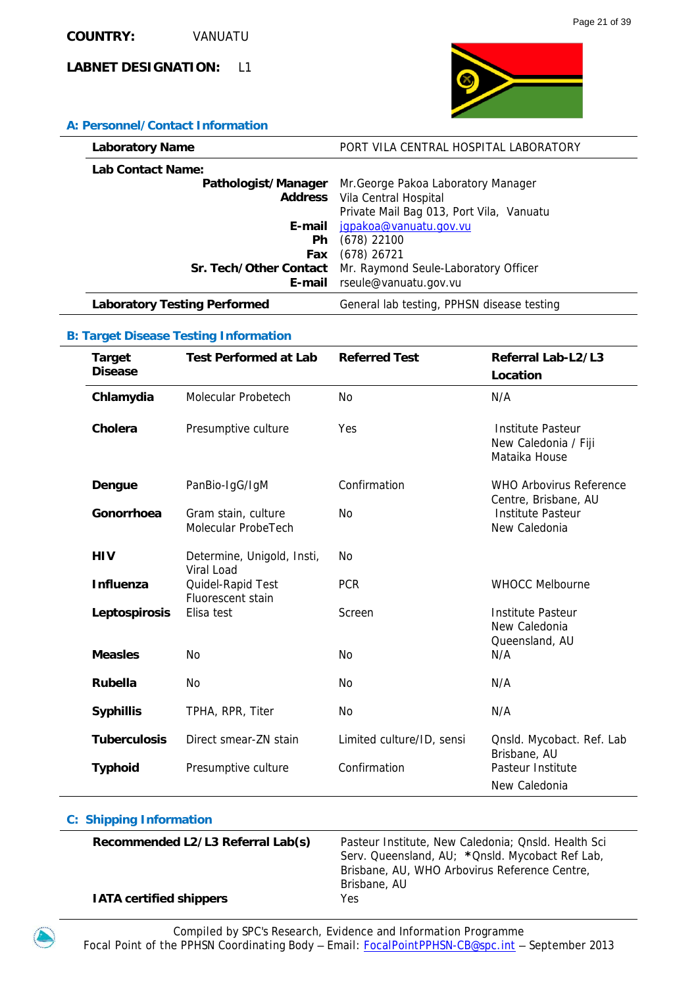**A: Personnel/Contact Information** 



| <b>Laboratory Name</b>              | PORT VILA CENTRAL HOSPITAL LABORATORY      |
|-------------------------------------|--------------------------------------------|
| <b>Lab Contact Name:</b>            |                                            |
| Pathologist/Manager                 | Mr. George Pakoa Laboratory Manager        |
|                                     | <b>Address</b> Vila Central Hospital       |
|                                     | Private Mail Bag 013, Port Vila, Vanuatu   |
| E-mail                              | jqpakoa@vanuatu.gov.vu                     |
| <b>Ph</b>                           | $(678)$ 22100                              |
| Fax                                 | $(678)$ 26721                              |
| Sr. Tech/Other Contact              | Mr. Raymond Seule-Laboratory Officer       |
| E-mail                              | rseule@vanuatu.gov.vu                      |
| <b>Laboratory Testing Performed</b> | General lab testing, PPHSN disease testing |

### **B: Target Disease Testing Information**

| <b>Target</b>       | <b>Test Performed at Lab</b>               | <b>Referred Test</b>      | Referral Lab-L2/L3                                                |
|---------------------|--------------------------------------------|---------------------------|-------------------------------------------------------------------|
| <b>Disease</b>      |                                            |                           | Location                                                          |
| Chlamydia           | Molecular Probetech                        | No                        | N/A                                                               |
| Cholera             | Presumptive culture                        | Yes                       | <b>Institute Pasteur</b><br>New Caledonia / Fiji<br>Mataika House |
| Dengue              | PanBio-IgG/IgM                             | Confirmation              | <b>WHO Arbovirus Reference</b><br>Centre, Brisbane, AU            |
| Gonorrhoea          | Gram stain, culture<br>Molecular ProbeTech | No                        | <b>Institute Pasteur</b><br>New Caledonia                         |
| HIV                 | Determine, Unigold, Insti,<br>Viral Load   | No                        |                                                                   |
| <b>Influenza</b>    | Quidel-Rapid Test<br>Fluorescent stain     | <b>PCR</b>                | <b>WHOCC Melbourne</b>                                            |
| Leptospirosis       | Elisa test                                 | Screen                    | <b>Institute Pasteur</b><br>New Caledonia<br>Queensland, AU       |
| <b>Measles</b>      | <b>No</b>                                  | <b>No</b>                 | N/A                                                               |
| <b>Rubella</b>      | <b>No</b>                                  | No                        | N/A                                                               |
| <b>Syphillis</b>    | TPHA, RPR, Titer                           | No                        | N/A                                                               |
| <b>Tuberculosis</b> | Direct smear-ZN stain                      | Limited culture/ID, sensi | Qnsld. Mycobact. Ref. Lab<br>Brisbane, AU                         |
| <b>Typhoid</b>      | Presumptive culture                        | Confirmation              | Pasteur Institute<br>New Caledonia                                |

| Recommended L2/L3 Referral Lab(s) | Pasteur Institute, New Caledonia; Qnsld. Health Sci<br>Serv. Queensland, AU; * Qnsld. Mycobact Ref Lab,<br>Brisbane, AU, WHO Arbovirus Reference Centre, |
|-----------------------------------|----------------------------------------------------------------------------------------------------------------------------------------------------------|
| <b>IATA certified shippers</b>    | Brisbane, AU<br>Yes.                                                                                                                                     |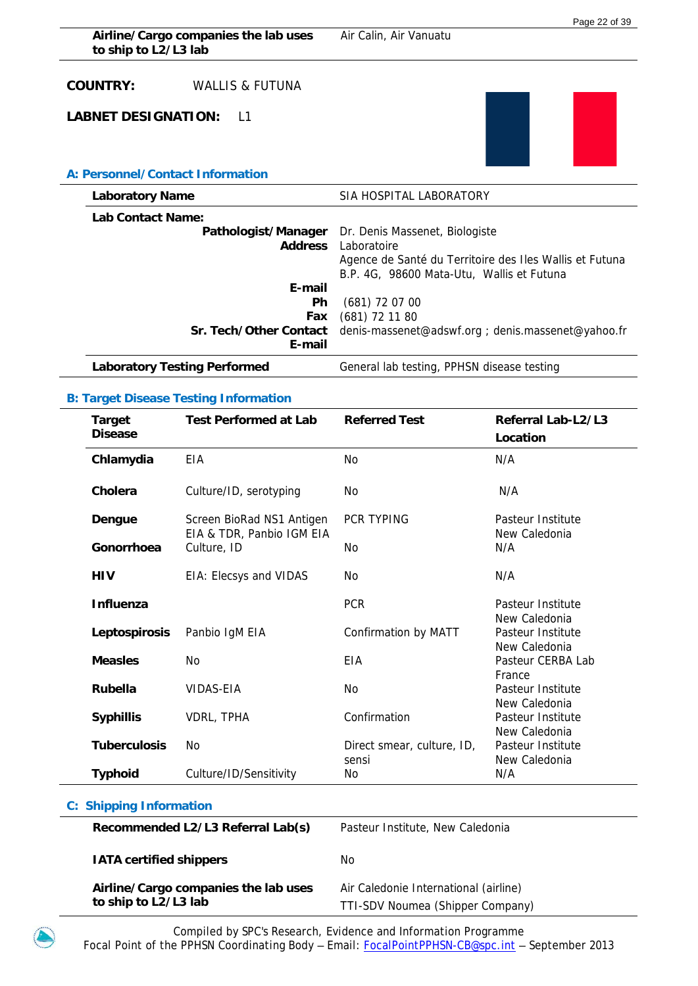| Airline/Cargo companies the lab uses<br>to ship to L2/L3 lab | Air Calin, Air Vanuatu                                                                                                                                                    |
|--------------------------------------------------------------|---------------------------------------------------------------------------------------------------------------------------------------------------------------------------|
| <b>COUNTRY:</b><br>WALLIS & FUTUNA                           |                                                                                                                                                                           |
| <b>LABNET DESIGNATION:</b><br>$\vert$ 1                      |                                                                                                                                                                           |
| A: Personnel/Contact Information                             |                                                                                                                                                                           |
| <b>Laboratory Name</b>                                       | SIA HOSPITAL LABORATORY                                                                                                                                                   |
| Lab Contact Name:                                            |                                                                                                                                                                           |
| <b>Address</b>                                               | Pathologist/Manager Dr. Denis Massenet, Biologiste<br>Laboratoire<br>Agence de Santé du Territoire des Iles Wallis et Futuna<br>B.P. 4G, 98600 Mata-Utu, Wallis et Futuna |
| E-mail                                                       |                                                                                                                                                                           |
| <b>Ph</b><br>Fax                                             | $(681)$ 72 07 00                                                                                                                                                          |
| Sr. Tech/Other Contact<br>E-mail                             | $(681)$ 72 11 80<br>denis-massenet@adswf.org; denis.massenet@yahoo.fr                                                                                                     |
| <b>Laboratory Testing Performed</b>                          | General lab testing, PPHSN disease testing                                                                                                                                |
|                                                              |                                                                                                                                                                           |

### **B: Target Disease Testing Information**

j.

| <b>Target</b><br><b>Disease</b> | <b>Test Performed at Lab</b>                           | <b>Referred Test</b>                | Referral Lab-L2/L3<br>Location     |
|---------------------------------|--------------------------------------------------------|-------------------------------------|------------------------------------|
| Chlamydia                       | EIA                                                    | <b>No</b>                           | N/A                                |
| Cholera                         | Culture/ID, serotyping                                 | <b>No</b>                           | N/A                                |
| Dengue                          | Screen BioRad NS1 Antigen<br>EIA & TDR, Panbio IGM EIA | <b>PCR TYPING</b>                   | Pasteur Institute<br>New Caledonia |
| Gonorrhoea                      | Culture, ID                                            | <b>No</b>                           | N/A                                |
| <b>HIV</b>                      | EIA: Elecsys and VIDAS                                 | <b>No</b>                           | N/A                                |
| <b>Influenza</b>                |                                                        | <b>PCR</b>                          | Pasteur Institute<br>New Caledonia |
| Leptospirosis                   | Panbio IgM EIA                                         | Confirmation by MATT                | Pasteur Institute<br>New Caledonia |
| <b>Measles</b>                  | <b>No</b>                                              | <b>FIA</b>                          | Pasteur CERBA Lab<br>France        |
| <b>Rubella</b>                  | <b>VIDAS-EIA</b>                                       | N <sub>0</sub>                      | Pasteur Institute<br>New Caledonia |
| <b>Syphillis</b>                | VDRL, TPHA                                             | Confirmation                        | Pasteur Institute<br>New Caledonia |
| <b>Tuberculosis</b>             | N <sub>o</sub>                                         | Direct smear, culture, ID,<br>sensi | Pasteur Institute<br>New Caledonia |
| <b>Typhoid</b>                  | Culture/ID/Sensitivity                                 | No.                                 | N/A                                |

| Recommended L2/L3 Referral Lab(s)                            | Pasteur Institute, New Caledonia                                          |
|--------------------------------------------------------------|---------------------------------------------------------------------------|
| <b>IATA certified shippers</b>                               | No.                                                                       |
| Airline/Cargo companies the lab uses<br>to ship to L2/L3 lab | Air Caledonie International (airline)<br>TTI-SDV Noumea (Shipper Company) |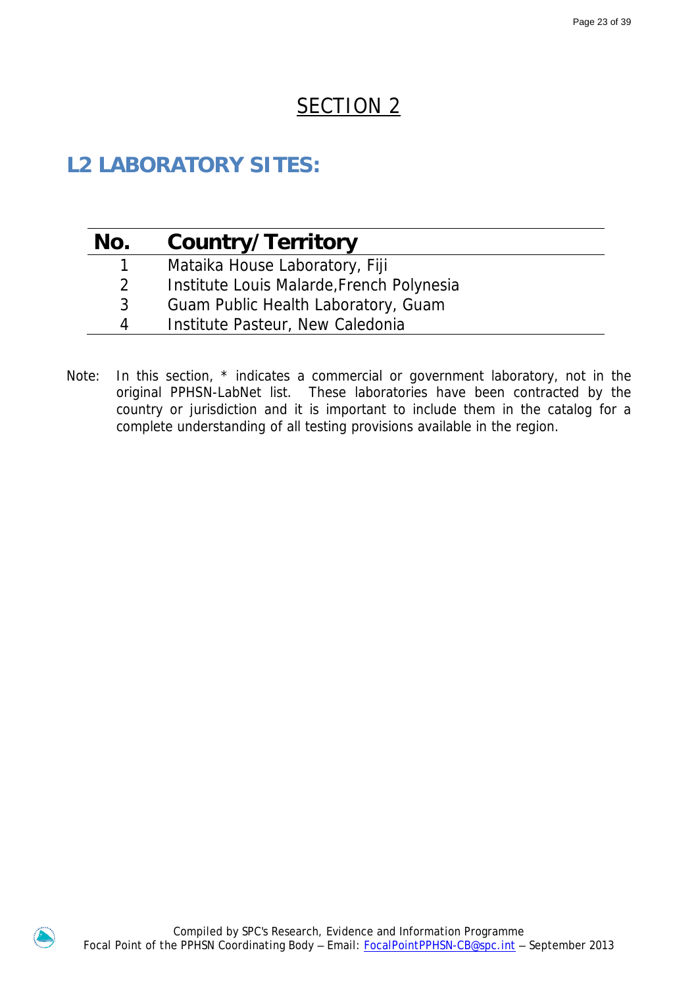# SECTION<sub>2</sub>

# **L2 LABORATORY SITES:**

| No. | Country/Territory                         |
|-----|-------------------------------------------|
|     | Mataika House Laboratory, Fiji            |
| 2   | Institute Louis Malarde, French Polynesia |
| 3   | Guam Public Health Laboratory, Guam       |
| 4   | Institute Pasteur, New Caledonia          |

Note: In this section, \* indicates a commercial or government laboratory, not in the original PPHSN-LabNet list. These laboratories have been contracted by the country or jurisdiction and it is important to include them in the catalog for a complete understanding of all testing provisions available in the region.

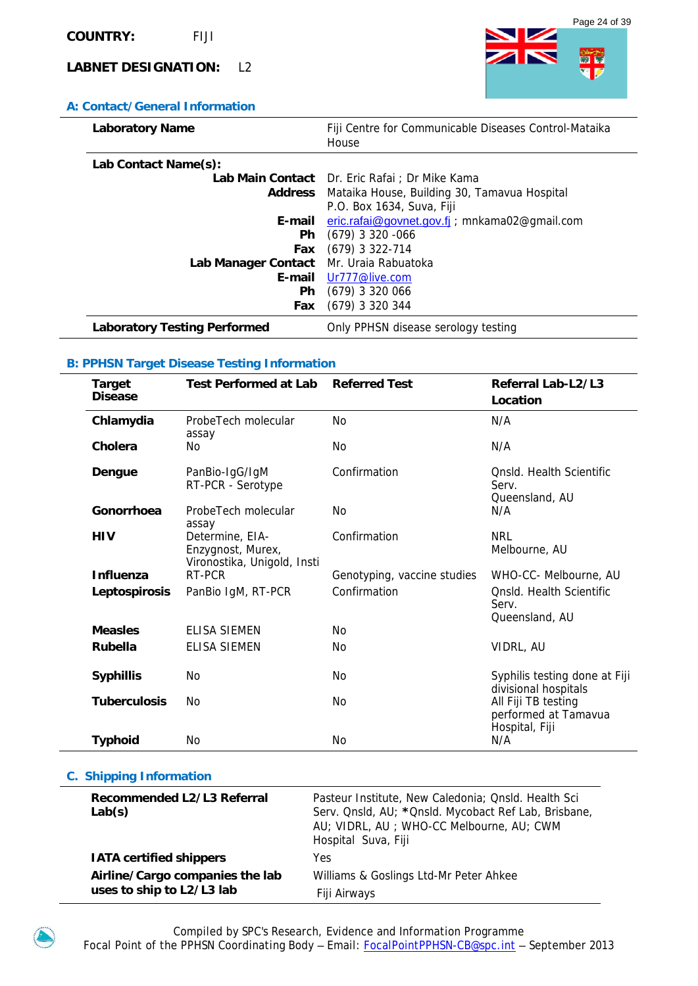# **A: Contact/General Information**

| <b>CONGER OCHER HIRDING (ION</b>        |                                                                |
|-----------------------------------------|----------------------------------------------------------------|
| <b>Laboratory Name</b>                  | Fiji Centre for Communicable Diseases Control-Mataika<br>House |
| Lab Contact Name(s):                    |                                                                |
|                                         | Lab Main Contact Dr. Eric Rafai ; Dr Mike Kama                 |
|                                         | <b>Address</b> Mataika House, Building 30, Tamavua Hospital    |
|                                         | P.O. Box 1634, Suva, Fiji                                      |
|                                         | <b>E-mail</b> eric.rafai@govnet.gov.fj , mnkama02@gmail.com    |
| <b>Ph</b>                               | $(679)$ 3 320 -066                                             |
| Fax                                     | $(679)$ 3 322-714                                              |
| Lab Manager Contact Mr. Uraia Rabuatoka |                                                                |
| E-mail                                  | Ur777@live.com                                                 |
| <b>Ph</b>                               | $(679)$ 3 320 066                                              |
| <b>Fax</b>                              | $(679)$ 3 320 344                                              |
| <b>Laboratory Testing Performed</b>     | Only PPHSN disease serology testing                            |

### **B: PPHSN Target Disease Testing Information**

| <b>Target</b><br><b>Disease</b> | <b>Test Performed at Lab</b>                                        | <b>Referred Test</b>        | Referral Lab-L2/L3<br>Location                                |
|---------------------------------|---------------------------------------------------------------------|-----------------------------|---------------------------------------------------------------|
| Chlamydia                       | ProbeTech molecular<br>assay                                        | No.                         | N/A                                                           |
| Cholera                         | No                                                                  | No.                         | N/A                                                           |
| Dengue                          | PanBio-IgG/IgM<br>RT-PCR - Serotype                                 | Confirmation                | Onsid. Health Scientific<br>Serv.<br>Queensland, AU           |
| Gonorrhoea                      | ProbeTech molecular<br>assay                                        | No.                         | N/A                                                           |
| <b>HIV</b>                      | Determine, EIA-<br>Enzygnost, Murex,<br>Vironostika, Unigold, Insti | Confirmation                | <b>NRL</b><br>Melbourne, AU                                   |
| <b>Influenza</b>                | RT-PCR                                                              | Genotyping, vaccine studies | WHO-CC- Melbourne, AU                                         |
| Leptospirosis                   | PanBio IgM, RT-PCR                                                  | Confirmation                | Onsid. Health Scientific<br>Serv.<br>Queensland, AU           |
| <b>Measles</b>                  | <b>ELISA SIEMEN</b>                                                 | No.                         |                                                               |
| <b>Rubella</b>                  | <b>ELISA SIEMEN</b>                                                 | No.                         | VIDRL, AU                                                     |
| <b>Syphillis</b>                | No                                                                  | No.                         | Syphilis testing done at Fiji<br>divisional hospitals         |
| <b>Tuberculosis</b>             | Nο                                                                  | N <sub>0</sub>              | All Fiji TB testing<br>performed at Tamavua<br>Hospital, Fiji |
| <b>Typhoid</b>                  | No                                                                  | No.                         | N/A                                                           |

| Recommended L2/L3 Referral<br>Lab(s) | Pasteur Institute, New Caledonia; Qnsld. Health Sci<br>Serv. Qnsld, AU; * Qnsld. Mycobact Ref Lab, Brisbane,<br>AU; VIDRL, AU; WHO-CC Melbourne, AU; CWM<br>Hospital Suva, Fiji |
|--------------------------------------|---------------------------------------------------------------------------------------------------------------------------------------------------------------------------------|
| <b>IATA certified shippers</b>       | Yes                                                                                                                                                                             |
| Airline/Cargo companies the lab      | Williams & Goslings Ltd-Mr Peter Ahkee                                                                                                                                          |
| uses to ship to L2/L3 lab            | Fiji Airways                                                                                                                                                                    |



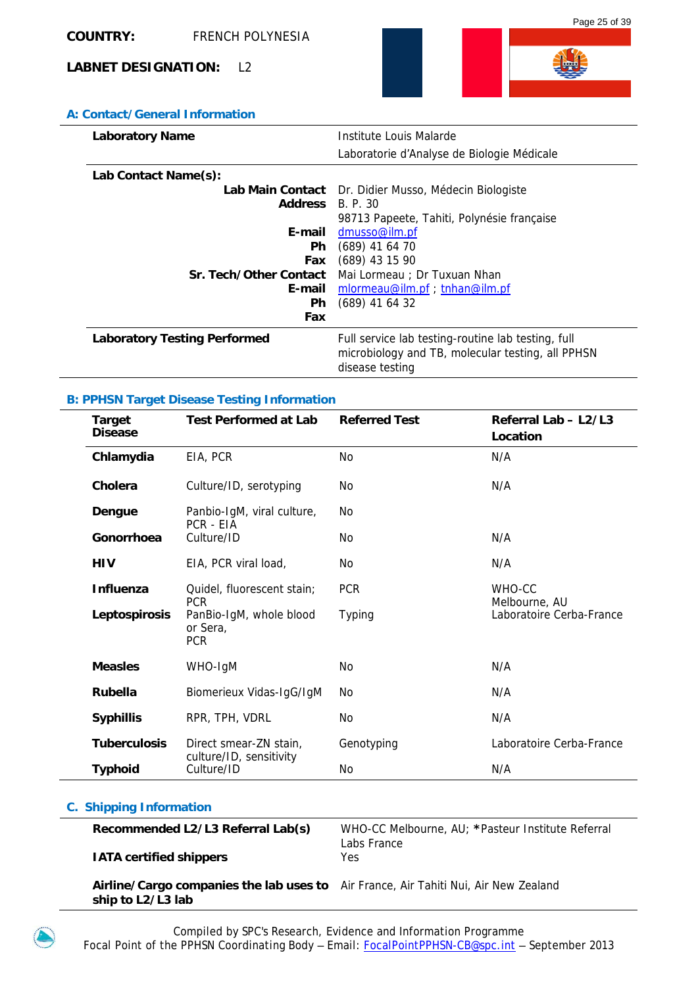

# **A: Contact/General Information**

| <b>Laboratory Name</b>              | Institute Louis Malarde                                                                                                    |
|-------------------------------------|----------------------------------------------------------------------------------------------------------------------------|
|                                     | Laboratorie d'Analyse de Biologie Médicale                                                                                 |
| Lab Contact Name(s):                |                                                                                                                            |
|                                     | Lab Main Contact Dr. Didier Musso, Médecin Biologiste                                                                      |
| <b>Address</b> B.P.30               |                                                                                                                            |
|                                     | 98713 Papeete, Tahiti, Polynésie française                                                                                 |
| E-mail                              | dmusso@ilm.pf                                                                                                              |
| Ph.                                 | $(689)$ 41 64 70                                                                                                           |
|                                     | Fax (689) 43 15 90                                                                                                         |
|                                     | Sr. Tech/Other Contact Mai Lormeau ; Dr Tuxuan Nhan                                                                        |
|                                     | E-mail mlormeau@ilm.pf ; tnhan@ilm.pf                                                                                      |
| Ph.                                 | $(689)$ 41 64 32                                                                                                           |
| Fax                                 |                                                                                                                            |
| <b>Laboratory Testing Performed</b> | Full service lab testing-routine lab testing, full<br>microbiology and TB, molecular testing, all PPHSN<br>disease testing |

### **B: PPHSN Target Disease Testing Information**

| <b>Target</b><br><b>Disease</b> | <b>Test Performed at Lab</b>                      | <b>Referred Test</b> | Referral Lab - L2/L3<br>Location |
|---------------------------------|---------------------------------------------------|----------------------|----------------------------------|
| Chlamydia                       | EIA, PCR                                          | <b>No</b>            | N/A                              |
| Cholera                         | Culture/ID, serotyping                            | No                   | N/A                              |
| Dengue                          | Panbio-IgM, viral culture,<br>PCR - EIA           | No                   |                                  |
| Gonorrhoea                      | Culture/ID                                        | No                   | N/A                              |
| <b>HIV</b>                      | EIA, PCR viral load,                              | No                   | N/A                              |
| <b>Influenza</b>                | Quidel, fluorescent stain;<br><b>PCR</b>          | <b>PCR</b>           | WHO-CC<br>Melbourne, AU          |
| Leptospirosis                   | PanBio-IgM, whole blood<br>or Sera,<br><b>PCR</b> | <b>Typing</b>        | Laboratoire Cerba-France         |
| <b>Measles</b>                  | WHO-IgM                                           | No                   | N/A                              |
| <b>Rubella</b>                  | Biomerieux Vidas-IgG/IgM                          | No                   | N/A                              |
| <b>Syphillis</b>                | RPR, TPH, VDRL                                    | No                   | N/A                              |
| <b>Tuberculosis</b>             | Direct smear-ZN stain,                            | Genotyping           | Laboratoire Cerba-France         |
| <b>Typhoid</b>                  | culture/ID, sensitivity<br>Culture/ID             | No                   | N/A                              |

### **C. Shipping Information**

| Recommended L2/L3 Referral Lab(s) | WHO-CC Melbourne, AU: *Pasteur Institute Referral |
|-----------------------------------|---------------------------------------------------|
|                                   | Labs France                                       |
| <b>IATA certified shippers</b>    | Yes.                                              |

 **Airline/Cargo companies the lab uses to**  Air France, Air Tahiti Nui, Air New Zealand **ship to L2/L3 lab**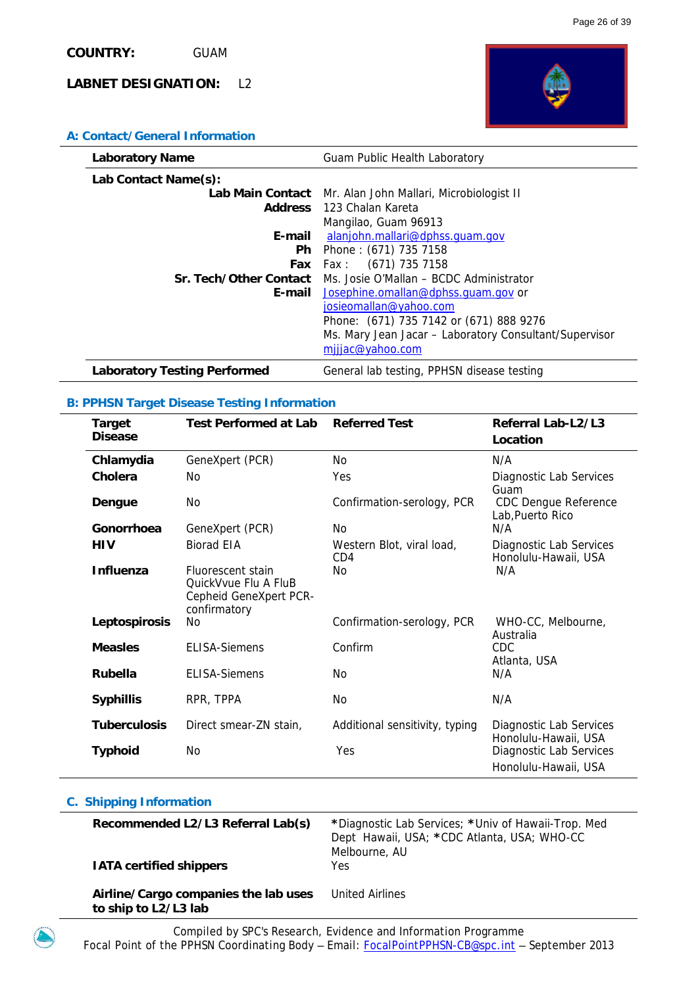

| <b>Laboratory Name</b>              | Guam Public Health Laboratory                             |
|-------------------------------------|-----------------------------------------------------------|
| Lab Contact Name(s):                |                                                           |
|                                     | Lab Main Contact Mr. Alan John Mallari, Microbiologist II |
|                                     | <b>Address</b> 123 Chalan Kareta                          |
|                                     | Mangilao, Guam 96913                                      |
| E-mail                              | alanjohn.mallari@dphss.quam.qov                           |
| Ph.                                 | Phone: (671) 735 7158                                     |
|                                     | (671) 735 7158<br><b>Fax</b> Fax:                         |
| <b>Sr. Tech/Other Contact</b>       | Ms. Josie O'Mallan - BCDC Administrator                   |
|                                     | <b>E-mail</b> Josephine.omallan@dphss.quam.gov or         |
|                                     | josieomallan@yahoo.com                                    |
|                                     | Phone: (671) 735 7142 or (671) 888 9276                   |
|                                     | Ms. Mary Jean Jacar - Laboratory Consultant/Supervisor    |
|                                     | mijjac@yahoo.com                                          |
| <b>Laboratory Testing Performed</b> | General lab testing, PPHSN disease testing                |

### **B: PPHSN Target Disease Testing Information**

| <b>Target</b><br><b>Disease</b> | <b>Test Performed at Lab</b>                                                        | <b>Referred Test</b>             | Referral Lab-L2/L3<br>Location                  |
|---------------------------------|-------------------------------------------------------------------------------------|----------------------------------|-------------------------------------------------|
| Chlamydia                       | GeneXpert (PCR)                                                                     | No                               | N/A                                             |
| Cholera                         | No                                                                                  | Yes                              | Diagnostic Lab Services<br>Guam                 |
| Dengue                          | No                                                                                  | Confirmation-serology, PCR       | <b>CDC Dengue Reference</b><br>Lab, Puerto Rico |
| Gonorrhoea                      | GeneXpert (PCR)                                                                     | No.                              | N/A                                             |
| HIV                             | <b>Biorad EIA</b>                                                                   | Western Blot, viral load,<br>CD4 | Diagnostic Lab Services<br>Honolulu-Hawaii, USA |
| <b>Influenza</b>                | Fluorescent stain<br>QuickVvue Flu A FluB<br>Cepheid GeneXpert PCR-<br>confirmatory | No                               | N/A                                             |
| Leptospirosis                   | No.                                                                                 | Confirmation-serology, PCR       | WHO-CC, Melbourne,<br>Australia                 |
| <b>Measles</b>                  | <b>FLISA-Siemens</b>                                                                | Confirm                          | CDC<br>Atlanta, USA                             |
| <b>Rubella</b>                  | <b>ELISA-Siemens</b>                                                                | No.                              | N/A                                             |
| <b>Syphillis</b>                | RPR, TPPA                                                                           | No                               | N/A                                             |
| <b>Tuberculosis</b>             | Direct smear-ZN stain,                                                              | Additional sensitivity, typing   | Diagnostic Lab Services<br>Honolulu-Hawaii, USA |
| <b>Typhoid</b>                  | N <sub>0</sub>                                                                      | Yes                              | Diagnostic Lab Services<br>Honolulu-Hawaii, USA |

| Recommended L2/L3 Referral Lab(s)<br><b>IATA certified shippers</b> | *Diagnostic Lab Services; *Univ of Hawaii-Trop. Med<br>Dept Hawaii, USA; *CDC Atlanta, USA; WHO-CC<br>Melbourne, AU<br>Yes. |
|---------------------------------------------------------------------|-----------------------------------------------------------------------------------------------------------------------------|
| Airline/Cargo companies the lab uses<br>to ship to L2/L3 lab        | United Airlines                                                                                                             |

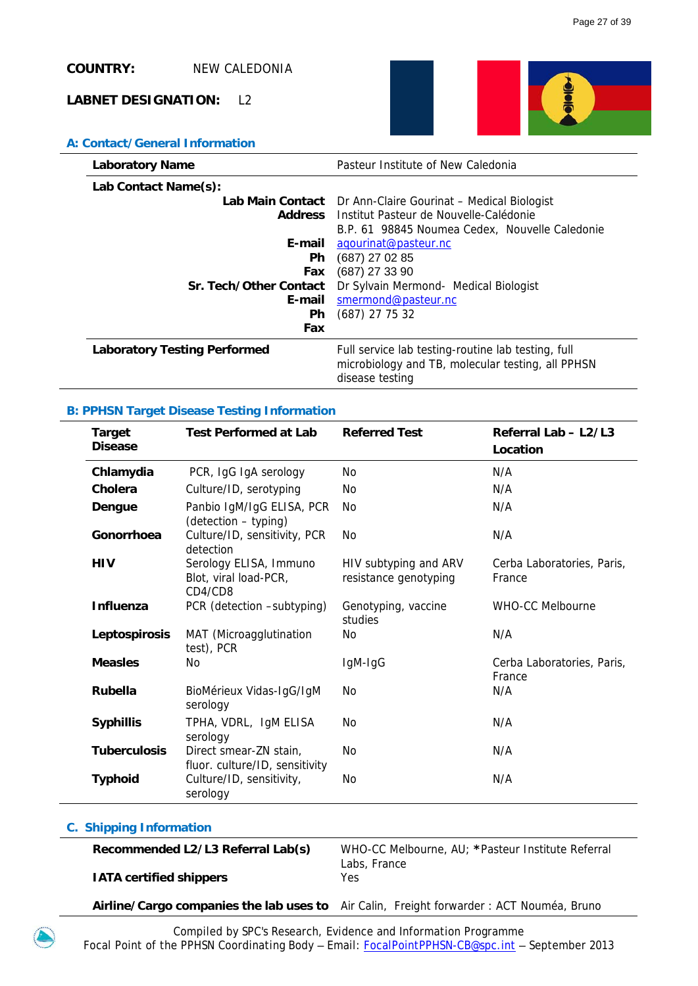# **COUNTRY:** NEW CALEDONIA

### **LABNET DESIGNATION:** L2



### **A: Contact/General Information**

| Laboratory Name                     | Pasteur Institute of New Caledonia                                                                                         |
|-------------------------------------|----------------------------------------------------------------------------------------------------------------------------|
| Lab Contact Name(s):                |                                                                                                                            |
|                                     | Lab Main Contact Dr Ann-Claire Gourinat - Medical Biologist                                                                |
|                                     | <b>Address</b> Institut Pasteur de Nouvelle-Calédonie                                                                      |
|                                     | B.P. 61 98845 Noumea Cedex, Nouvelle Caledonie                                                                             |
| E-mail                              | agourinat@pasteur.nc                                                                                                       |
| <b>Ph</b>                           | $(687)$ 27 02 85                                                                                                           |
| Fax                                 | (687) 27 33 90                                                                                                             |
| Sr. Tech/Other Contact              | Dr Sylvain Mermond- Medical Biologist                                                                                      |
| E-mail                              | smermond@pasteur.nc                                                                                                        |
| <b>Ph</b>                           | (687) 27 75 32                                                                                                             |
| Fax                                 |                                                                                                                            |
| <b>Laboratory Testing Performed</b> | Full service lab testing-routine lab testing, full<br>microbiology and TB, molecular testing, all PPHSN<br>disease testing |

### **B: PPHSN Target Disease Testing Information**

| <b>Target</b><br><b>Disease</b> | <b>Test Performed at Lab</b>                               | <b>Referred Test</b>                           | Referral Lab - L2/L3                 |
|---------------------------------|------------------------------------------------------------|------------------------------------------------|--------------------------------------|
|                                 |                                                            |                                                | Location                             |
| Chlamydia                       | PCR, IgG IgA serology                                      | No                                             | N/A                                  |
| Cholera                         | Culture/ID, serotyping                                     | No                                             | N/A                                  |
| Dengue                          | Panbio IgM/IgG ELISA, PCR<br>(detection - typing)          | No.                                            | N/A                                  |
| Gonorrhoea                      | Culture/ID, sensitivity, PCR<br>detection                  | No                                             | N/A                                  |
| <b>HIV</b>                      | Serology ELISA, Immuno<br>Blot, viral load-PCR,<br>CD4/CD8 | HIV subtyping and ARV<br>resistance genotyping | Cerba Laboratories, Paris,<br>France |
| Influenza                       | PCR (detection -subtyping)                                 | Genotyping, vaccine<br>studies                 | <b>WHO-CC Melbourne</b>              |
| Leptospirosis                   | MAT (Microagglutination<br>test), PCR                      | No                                             | N/A                                  |
| <b>Measles</b>                  | <b>No</b>                                                  | IgM-IgG                                        | Cerba Laboratories, Paris,<br>France |
| <b>Rubella</b>                  | BioMérieux Vidas-IgG/IgM<br>serology                       | N <sub>0</sub>                                 | N/A                                  |
| <b>Syphillis</b>                | TPHA, VDRL, IgM ELISA<br>serology                          | No                                             | N/A                                  |
| <b>Tuberculosis</b>             | Direct smear-ZN stain,<br>fluor. culture/ID, sensitivity   | No                                             | N/A                                  |
| <b>Typhoid</b>                  | Culture/ID, sensitivity,<br>serology                       | No                                             | N/A                                  |

### **C. Shipping Information**

**Recommended L2/L3 Referral Lab(s)** WHO-CC Melbourne, AU; **\***Pasteur Institute Referral Labs, France

 **IATA certified shippers** Yes

 **Airline/Cargo companies the lab uses to** Air Calin, Freight forwarder : ACT Nouméa, Bruno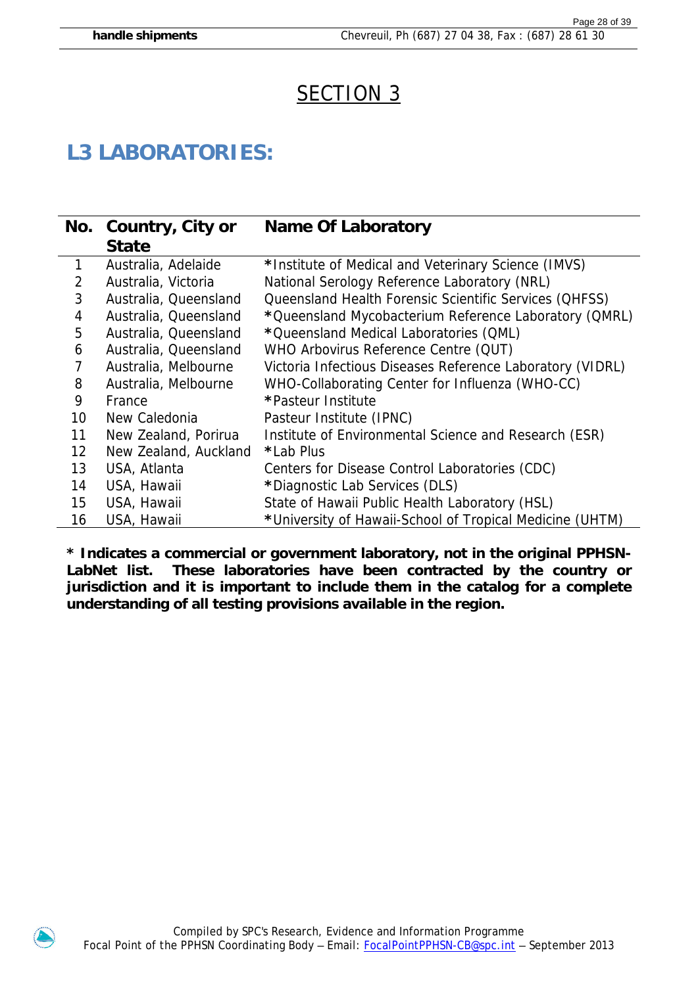# SECTION 3

# **L3 LABORATORIES:**

|    | No. Country, City or  | <b>Name Of Laboratory</b>                                     |
|----|-----------------------|---------------------------------------------------------------|
|    | <b>State</b>          |                                                               |
| 1  | Australia, Adelaide   | *Institute of Medical and Veterinary Science (IMVS)           |
| 2  | Australia, Victoria   | National Serology Reference Laboratory (NRL)                  |
| 3  | Australia, Queensland | <b>Queensland Health Forensic Scientific Services (QHFSS)</b> |
| 4  | Australia, Queensland | *Queensland Mycobacterium Reference Laboratory (QMRL)         |
| 5  | Australia, Queensland | *Queensland Medical Laboratories (QML)                        |
| 6  | Australia, Queensland | WHO Arbovirus Reference Centre (QUT)                          |
| 7  | Australia, Melbourne  | Victoria Infectious Diseases Reference Laboratory (VIDRL)     |
| 8  | Australia, Melbourne  | WHO-Collaborating Center for Influenza (WHO-CC)               |
| 9  | France                | *Pasteur Institute                                            |
| 10 | New Caledonia         | Pasteur Institute (IPNC)                                      |
| 11 | New Zealand, Porirua  | Institute of Environmental Science and Research (ESR)         |
| 12 | New Zealand, Auckland | *Lab Plus                                                     |
| 13 | USA, Atlanta          | Centers for Disease Control Laboratories (CDC)                |
| 14 | USA, Hawaii           | *Diagnostic Lab Services (DLS)                                |
| 15 | USA, Hawaii           | State of Hawaii Public Health Laboratory (HSL)                |
| 16 | USA, Hawaii           | *University of Hawaii-School of Tropical Medicine (UHTM)      |

**\* Indicates a commercial or government laboratory, not in the original PPHSN-LabNet list. These laboratories have been contracted by the country or jurisdiction and it is important to include them in the catalog for a complete understanding of all testing provisions available in the region.** 

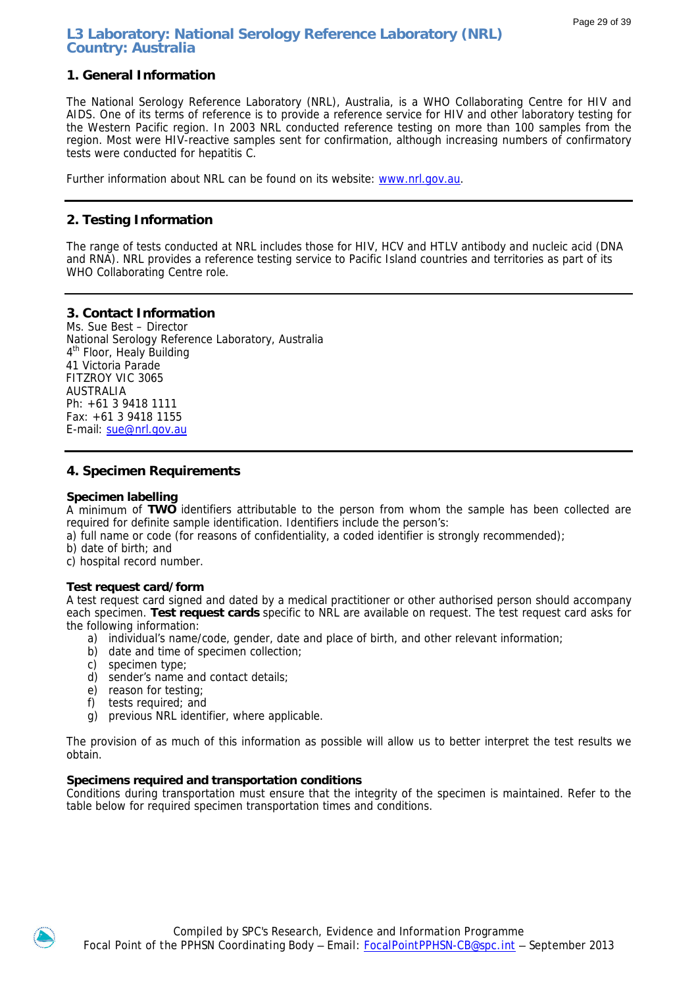# **L3 Laboratory: National Serology Reference Laboratory (NRL) Country: Australia**

# **1. General Information**

The National Serology Reference Laboratory (NRL), Australia, is a WHO Collaborating Centre for HIV and AIDS. One of its terms of reference is to provide a reference service for HIV and other laboratory testing for the Western Pacific region. In 2003 NRL conducted reference testing on more than 100 samples from the region. Most were HIV-reactive samples sent for confirmation, although increasing numbers of confirmatory tests were conducted for hepatitis C.

Further information about NRL can be found on its website: [www.nrl.gov.au.](http://www.nrl.gov.au/)

### **2. Testing Information**

The range of tests conducted at NRL includes those for HIV, HCV and HTLV antibody and nucleic acid (DNA and RNA). NRL provides a reference testing service to Pacific Island countries and territories as part of its WHO Collaborating Centre role.

### **3. Contact Information**

Ms. Sue Best – Director National Serology Reference Laboratory, Australia 4<sup>th</sup> Floor, Healy Building 41 Victoria Parade FITZROY VIC 3065 AUSTRALIA Ph: +61 3 9418 1111 Fax: +61 3 9418 1155 E-mail: [sue@nrl.gov.au](mailto:sue@nrl.gov.au) 

### **4. Specimen Requirements**

### **Specimen labelling**

A minimum of **TWO** identifiers attributable to the person from whom the sample has been collected are required for definite sample identification. Identifiers include the person's:

a) full name or code (for reasons of confidentiality, a coded identifier is strongly recommended);

b) date of birth; and

c) hospital record number.

### **Test request card/form**

A test request card signed and dated by a medical practitioner or other authorised person should accompany each specimen. **Test request cards** specific to NRL are available on request. The test request card asks for the following information:

- a) individual's name/code, gender, date and place of birth, and other relevant information;
- b) date and time of specimen collection;
- c) specimen type;
- d) sender's name and contact details;
- e) reason for testing;
- f) tests required; and
- g) previous NRL identifier, where applicable.

The provision of as much of this information as possible will allow us to better interpret the test results we obtain.

### **Specimens required and transportation conditions**

Conditions during transportation must ensure that the integrity of the specimen is maintained. Refer to the table below for required specimen transportation times and conditions.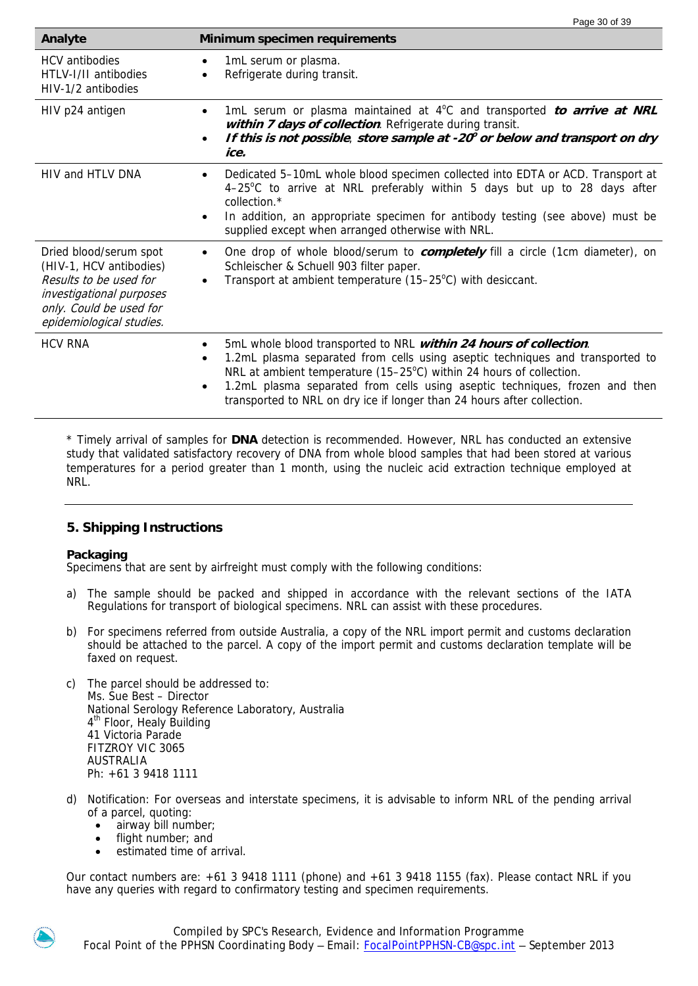| Analyte                                                                                                                                                        | Minimum specimen requirements                                                                                                                                                                                                                                                                                                                                                                                 |
|----------------------------------------------------------------------------------------------------------------------------------------------------------------|---------------------------------------------------------------------------------------------------------------------------------------------------------------------------------------------------------------------------------------------------------------------------------------------------------------------------------------------------------------------------------------------------------------|
| <b>HCV</b> antibodies<br>HTLV-I/II antibodies<br>HIV-1/2 antibodies                                                                                            | 1mL serum or plasma.<br>$\bullet$<br>Refrigerate during transit.<br>$\bullet$                                                                                                                                                                                                                                                                                                                                 |
| HIV p24 antigen                                                                                                                                                | 1mL serum or plasma maintained at 4°C and transported to arrive at NRL<br>$\bullet$<br>within 7 days of collection. Refrigerate during transit.<br>If this is not possible, store sample at $-20^\circ$ or below and transport on dry<br>$\bullet$<br>ice.                                                                                                                                                    |
| HIV and HTLV DNA                                                                                                                                               | Dedicated 5-10mL whole blood specimen collected into EDTA or ACD. Transport at<br>$\bullet$<br>4-25°C to arrive at NRL preferably within 5 days but up to 28 days after<br>collection.*<br>In addition, an appropriate specimen for antibody testing (see above) must be<br>$\bullet$<br>supplied except when arranged otherwise with NRL.                                                                    |
| Dried blood/serum spot<br>(HIV-1, HCV antibodies)<br>Results to be used for<br>investigational purposes<br>only. Could be used for<br>epidemiological studies. | One drop of whole blood/serum to <i>completely</i> fill a circle (1cm diameter), on<br>$\bullet$<br>Schleischer & Schuell 903 filter paper.<br>Transport at ambient temperature (15-25°C) with desiccant.<br>$\bullet$                                                                                                                                                                                        |
| <b>HCV RNA</b>                                                                                                                                                 | 5mL whole blood transported to NRL within 24 hours of collection.<br>1.2mL plasma separated from cells using aseptic techniques and transported to<br>$\bullet$<br>NRL at ambient temperature (15–25°C) within 24 hours of collection.<br>1.2mL plasma separated from cells using aseptic techniques, frozen and then<br>$\bullet$<br>transported to NRL on dry ice if longer than 24 hours after collection. |

Page 30 of 39

\* Timely arrival of samples for **DNA** detection is recommended. However, NRL has conducted an extensive study that validated satisfactory recovery of DNA from whole blood samples that had been stored at various temperatures for a period greater than 1 month, using the nucleic acid extraction technique employed at NRL.

# **5. Shipping Instructions**

### **Packaging**

Specimens that are sent by airfreight must comply with the following conditions:

- a) The sample should be packed and shipped in accordance with the relevant sections of the IATA Regulations for transport of biological specimens. NRL can assist with these procedures.
- b) For specimens referred from outside Australia, a copy of the NRL import permit and customs declaration should be attached to the parcel. A copy of the import permit and customs declaration template will be faxed on request.
- c) The parcel should be addressed to: Ms. Sue Best – Director National Serology Reference Laboratory, Australia 4<sup>th</sup> Floor, Healy Building 41 Victoria Parade FITZROY VIC 3065 AUSTRALIA Ph: +61 3 9418 1111
- d) Notification: For overseas and interstate specimens, it is advisable to inform NRL of the pending arrival of a parcel, quoting:
	- airway bill number;
	- flight number; and
	- estimated time of arrival.

Our contact numbers are: +61 3 9418 1111 (phone) and +61 3 9418 1155 (fax). Please contact NRL if you have any queries with regard to confirmatory testing and specimen requirements.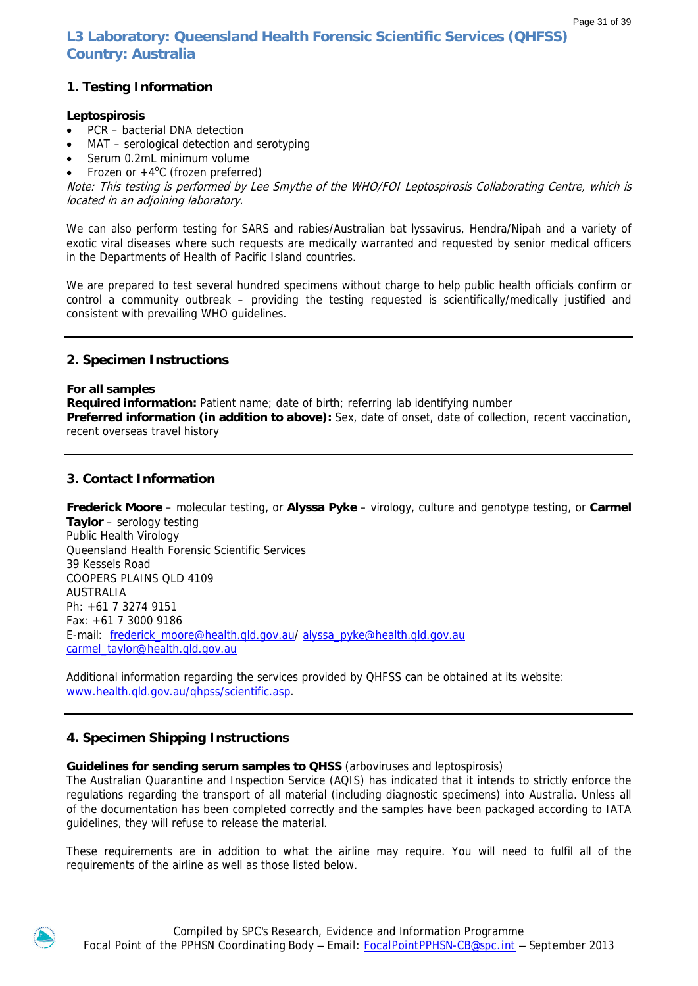**L3 Laboratory: Queensland Health Forensic Scientific Services (QHFSS) Country: Australia** 

# **1. Testing Information**

### **Leptospirosis**

- PCR bacterial DNA detection
- MAT serological detection and serotyping
- Serum 0.2mL minimum volume
- Frozen or  $+4^{\circ}$ C (frozen preferred)

Note: This testing is performed by Lee Smythe of the WHO/FOI Leptospirosis Collaborating Centre, which is located in an adjoining laboratory.

We can also perform testing for SARS and rabies/Australian bat lyssavirus, Hendra/Nipah and a variety of exotic viral diseases where such requests are medically warranted and requested by senior medical officers in the Departments of Health of Pacific Island countries.

We are prepared to test several hundred specimens without charge to help public health officials confirm or control a community outbreak – providing the testing requested is scientifically/medically justified and consistent with prevailing WHO guidelines.

# **2. Specimen Instructions**

**For all samples** 

**Required information:** Patient name; date of birth; referring lab identifying number

**Preferred information (in addition to above):** Sex, date of onset, date of collection, recent vaccination, recent overseas travel history

### **3. Contact Information**

**Frederick Moore** – molecular testing, or **Alyssa Pyke** – virology, culture and genotype testing, or **Carmel Taylor** – serology testing Public Health Virology Queensland Health Forensic Scientific Services 39 Kessels Road COOPERS PLAINS QLD 4109 AUSTRALIA Ph: +61 7 3274 9151 Fax: +61 7 3000 9186 E-mail: frederick moore@health.qld.gov.au/ alyssa pyke@health.qld.gov.au [carmel\\_taylor@health.qld.gov.au](mailto:carmel_taylor@health.qld.gov.au)

Additional information regarding the services provided by QHFSS can be obtained at its website: [www.health.qld.gov.au/qhpss/scientific.asp.](http://www.health.qld.gov.au/qhpss/scientific.asp)

# **4. Specimen Shipping Instructions**

### **Guidelines for sending serum samples to QHSS** (arboviruses and leptospirosis)

The Australian Quarantine and Inspection Service (AQIS) has indicated that it intends to strictly enforce the regulations regarding the transport of all material (including diagnostic specimens) into Australia. Unless all of the documentation has been completed correctly and the samples have been packaged according to IATA guidelines, they will refuse to release the material.

These requirements are in addition to what the airline may require. You will need to fulfil all of the requirements of the airline as well as those listed below.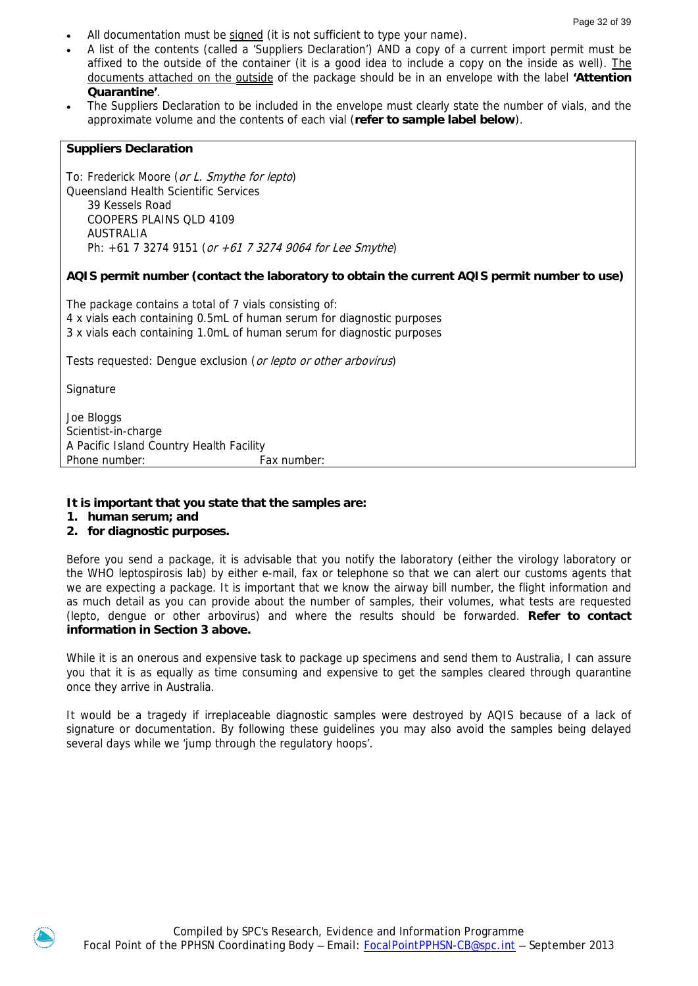- All documentation must be signed (it is not sufficient to type your name).
- A list of the contents (called a 'Suppliers Declaration') AND a copy of a current import permit must be affixed to the outside of the container (it is a good idea to include a copy on the inside as well). The documents attached on the outside of the package should be in an envelope with the label **'Attention Quarantine'**.
- The Suppliers Declaration to be included in the envelope must clearly state the number of vials, and the approximate volume and the contents of each vial (**refer to sample label below**).

### **Suppliers Declaration**

To: Frederick Moore (or L. Smythe for lepto) Queensland Health Scientific Services 39 Kessels Road COOPERS PLAINS QLD 4109 AUSTRALIA Ph: +61 7 3274 9151 (or +61 7 3274 9064 for Lee Smythe)

### **AQIS permit number (contact the laboratory to obtain the current AQIS permit number to use)**

The package contains a total of 7 vials consisting of: 4 x vials each containing 0.5mL of human serum for diagnostic purposes 3 x vials each containing 1.0mL of human serum for diagnostic purposes

Tests requested: Dengue exclusion (or lepto or other arbovirus)

**Signature** 

Joe Bloggs Scientist-in-charge A Pacific Island Country Health Facility Phone number: Fax number:

### **It is important that you state that the samples are:**

- **1. human serum; and**
- **2. for diagnostic purposes.**

Before you send a package, it is advisable that you notify the laboratory (either the virology laboratory or the WHO leptospirosis lab) by either e-mail, fax or telephone so that we can alert our customs agents that we are expecting a package. It is important that we know the airway bill number, the flight information and as much detail as you can provide about the number of samples, their volumes, what tests are requested (lepto, dengue or other arbovirus) and where the results should be forwarded. **Refer to contact information in Section 3 above.** 

While it is an onerous and expensive task to package up specimens and send them to Australia, I can assure you that it is as equally as time consuming and expensive to get the samples cleared through quarantine once they arrive in Australia.

It would be a tragedy if irreplaceable diagnostic samples were destroyed by AQIS because of a lack of signature or documentation. By following these guidelines you may also avoid the samples being delayed several days while we 'jump through the regulatory hoops'.

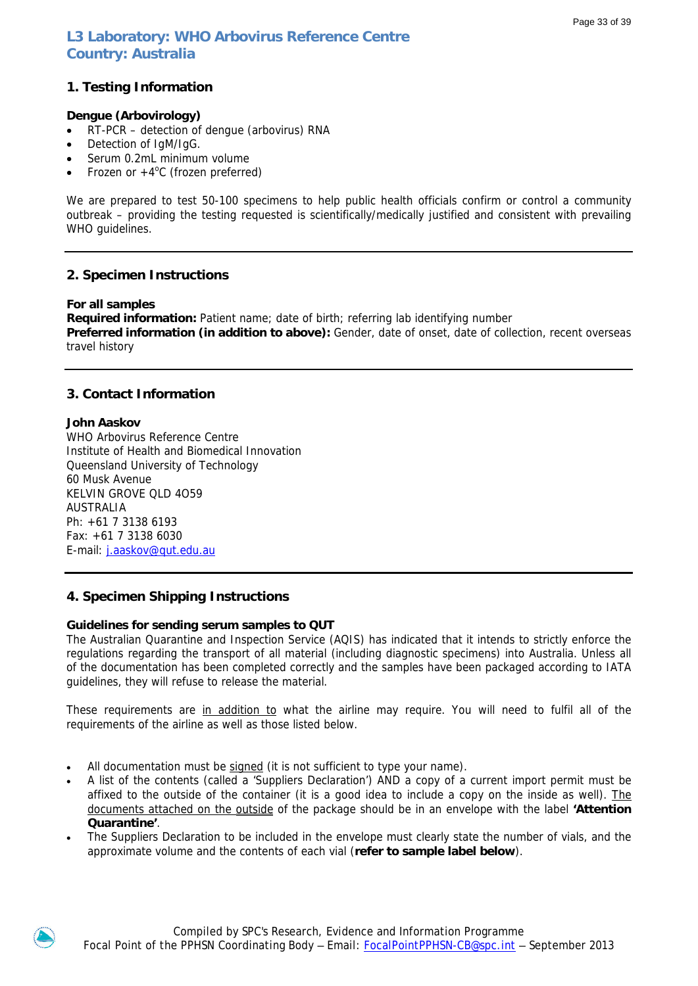# **L3 Laboratory: WHO Arbovirus Reference Centre Country: Australia**

# **1. Testing Information**

### **Dengue (Arbovirology)**

- RT-PCR detection of dengue (arbovirus) RNA
- Detection of IgM/IgG.
- Serum 0.2mL minimum volume
- Frozen or  $+4^{\circ}$ C (frozen preferred)

We are prepared to test 50-100 specimens to help public health officials confirm or control a community outbreak – providing the testing requested is scientifically/medically justified and consistent with prevailing WHO guidelines.

# **2. Specimen Instructions**

### **For all samples**

**Required information:** Patient name; date of birth; referring lab identifying number **Preferred information (in addition to above):** Gender, date of onset, date of collection, recent overseas travel history

# **3. Contact Information**

### **John Aaskov**

WHO Arbovirus Reference Centre Institute of Health and Biomedical Innovation Queensland University of Technology 60 Musk Avenue KELVIN GROVE QLD 4O59 AUSTRALIA Ph: +61 7 3138 6193 Fax: +61 7 3138 6030 E-mail: [j.aaskov@qut.edu.au](mailto:j.aaskov@qut.edu.au) 

# **4. Specimen Shipping Instructions**

### **Guidelines for sending serum samples to QUT**

The Australian Quarantine and Inspection Service (AQIS) has indicated that it intends to strictly enforce the regulations regarding the transport of all material (including diagnostic specimens) into Australia. Unless all of the documentation has been completed correctly and the samples have been packaged according to IATA guidelines, they will refuse to release the material.

These requirements are in addition to what the airline may require. You will need to fulfil all of the requirements of the airline as well as those listed below.

- All documentation must be signed (it is not sufficient to type your name).
- A list of the contents (called a 'Suppliers Declaration') AND a copy of a current import permit must be affixed to the outside of the container (it is a good idea to include a copy on the inside as well). The documents attached on the outside of the package should be in an envelope with the label **'Attention Quarantine'**.
- The Suppliers Declaration to be included in the envelope must clearly state the number of vials, and the approximate volume and the contents of each vial (**refer to sample label below**).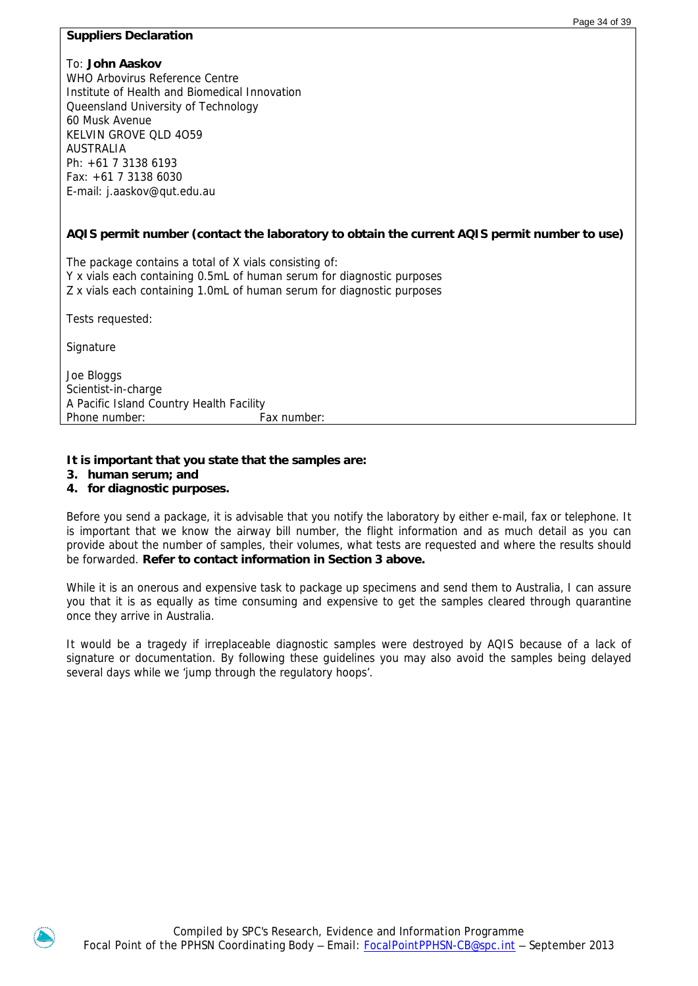### **Suppliers Declaration**

### To: **John Aaskov**

WHO Arbovirus Reference Centre Institute of Health and Biomedical Innovation Queensland University of Technology 60 Musk Avenue KELVIN GROVE QLD 4O59 AUSTRALIA Ph: +61 7 3138 6193 Fax: +61 7 3138 6030 E-mail: j.aaskov@qut.edu.au

### **AQIS permit number (contact the laboratory to obtain the current AQIS permit number to use)**

The package contains a total of X vials consisting of: Y x vials each containing 0.5mL of human serum for diagnostic purposes Z x vials each containing 1.0mL of human serum for diagnostic purposes

Tests requested:

**Signature** 

Joe Bloggs Scientist-in-charge A Pacific Island Country Health Facility Phone number: Fax number:

### **It is important that you state that the samples are:**

- **3. human serum; and**
- **4. for diagnostic purposes.**

Before you send a package, it is advisable that you notify the laboratory by either e-mail, fax or telephone. It is important that we know the airway bill number, the flight information and as much detail as you can provide about the number of samples, their volumes, what tests are requested and where the results should be forwarded. **Refer to contact information in Section 3 above.** 

While it is an onerous and expensive task to package up specimens and send them to Australia, I can assure you that it is as equally as time consuming and expensive to get the samples cleared through quarantine once they arrive in Australia.

It would be a tragedy if irreplaceable diagnostic samples were destroyed by AQIS because of a lack of signature or documentation. By following these guidelines you may also avoid the samples being delayed several days while we 'jump through the regulatory hoops'.

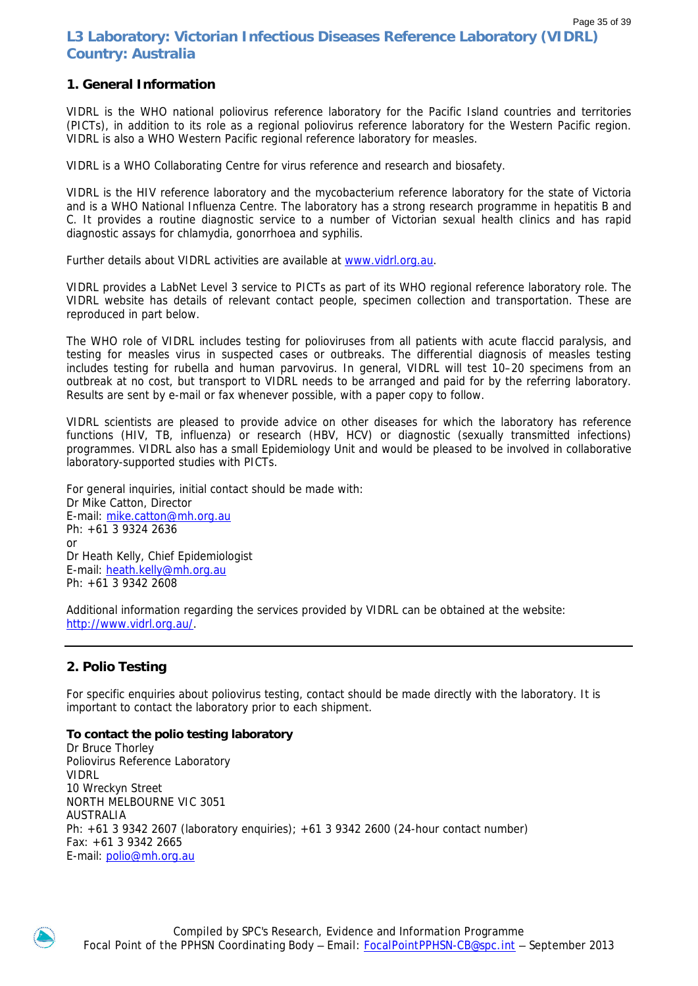### Page 35 of 39 **L3 Laboratory: Victorian Infectious Diseases Reference Laboratory (VIDRL) Country: Australia**

# **1. General Information**

VIDRL is the WHO national poliovirus reference laboratory for the Pacific Island countries and territories (PICTs), in addition to its role as a regional poliovirus reference laboratory for the Western Pacific region. VIDRL is also a WHO Western Pacific regional reference laboratory for measles.

VIDRL is a WHO Collaborating Centre for virus reference and research and biosafety.

VIDRL is the HIV reference laboratory and the mycobacterium reference laboratory for the state of Victoria and is a WHO National Influenza Centre. The laboratory has a strong research programme in hepatitis B and C. It provides a routine diagnostic service to a number of Victorian sexual health clinics and has rapid diagnostic assays for chlamydia, gonorrhoea and syphilis.

Further details about VIDRL activities are available at [www.vidrl.org.au.](http://www.vidrl.org.au/)

VIDRL provides a LabNet Level 3 service to PICTs as part of its WHO regional reference laboratory role. The VIDRL website has details of relevant contact people, specimen collection and transportation. These are reproduced in part below.

The WHO role of VIDRL includes testing for polioviruses from all patients with acute flaccid paralysis, and testing for measles virus in suspected cases or outbreaks. The differential diagnosis of measles testing includes testing for rubella and human parvovirus. In general, VIDRL will test 10–20 specimens from an outbreak at no cost, but transport to VIDRL needs to be arranged and paid for by the referring laboratory. Results are sent by e-mail or fax whenever possible, with a paper copy to follow.

VIDRL scientists are pleased to provide advice on other diseases for which the laboratory has reference functions (HIV, TB, influenza) or research (HBV, HCV) or diagnostic (sexually transmitted infections) programmes. VIDRL also has a small Epidemiology Unit and would be pleased to be involved in collaborative laboratory-supported studies with PICTs.

For general inquiries, initial contact should be made with: Dr Mike Catton, Director E-mail: [mike.catton@mh.org.au](mailto:mike.catton@mh.org.au)  Ph: +61 3 9324 2636 or Dr Heath Kelly, Chief Epidemiologist E-mail: [heath.kelly@mh.org.au](mailto:heath.kelly@mh.org.au) Ph: +61 3 9342 2608

Additional information regarding the services provided by VIDRL can be obtained at the website: [http://www.vidrl.org.au/.](http://www.vidrl.org.au/)

### **2. Polio Testing**

For specific enquiries about poliovirus testing, contact should be made directly with the laboratory. It is important to contact the laboratory prior to each shipment.

### **To contact the polio testing laboratory**

Dr Bruce Thorley Poliovirus Reference Laboratory VIDRL 10 Wreckyn Street NORTH MELBOURNE VIC 3051 AUSTRALIA Ph: +61 3 9342 2607 (laboratory enquiries); +61 3 9342 2600 (24-hour contact number) Fax: +61 3 9342 2665 E-mail: [polio@mh.org.au](mailto:polio@mh.org.au)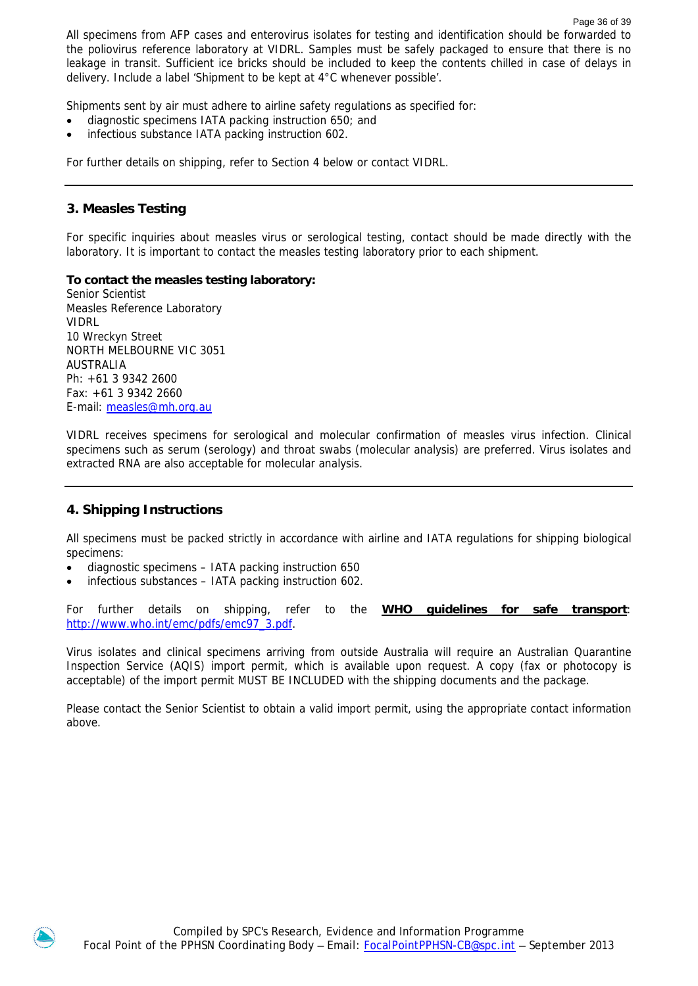All specimens from AFP cases and enterovirus isolates for testing and identification should be forwarded to the poliovirus reference laboratory at VIDRL. Samples must be safely packaged to ensure that there is no leakage in transit. Sufficient ice bricks should be included to keep the contents chilled in case of delays in delivery. Include a label 'Shipment to be kept at 4°C whenever possible'.

Shipments sent by air must adhere to airline safety regulations as specified for:

- diagnostic specimens IATA packing instruction 650; and
- infectious substance IATA packing instruction 602.

For further details on shipping, refer to Section 4 below or contact VIDRL.

### **3. Measles Testing**

For specific inquiries about measles virus or serological testing, contact should be made directly with the laboratory. It is important to contact the measles testing laboratory prior to each shipment.

### **To contact the measles testing laboratory:**

Senior Scientist Measles Reference Laboratory VIDRL 10 Wreckyn Street NORTH MELBOURNE VIC 3051 AUSTRALIA Ph: +61 3 9342 2600 Fax: +61 3 9342 2660 E-mail: [measles@mh.org.au](mailto:measles@mh.org.au)

VIDRL receives specimens for serological and molecular confirmation of measles virus infection. Clinical specimens such as serum (serology) and throat swabs (molecular analysis) are preferred. Virus isolates and extracted RNA are also acceptable for molecular analysis.

# **4. Shipping Instructions**

All specimens must be packed strictly in accordance with airline and IATA regulations for shipping biological specimens:

- diagnostic specimens IATA packing instruction 650
- infectious substances IATA packing instruction 602.

For further details on shipping, refer to the **WHO guidelines for safe transport**: [http://www.who.int/emc/pdfs/emc97\\_3.pdf](http://www.who.int/emc/pdfs/emc97_3.pdf).

Virus isolates and clinical specimens arriving from outside Australia will require an Australian Quarantine Inspection Service (AQIS) import permit, which is available upon request. A copy (fax or photocopy is acceptable) of the import permit MUST BE INCLUDED with the shipping documents and the package.

Please contact the Senior Scientist to obtain a valid import permit, using the appropriate contact information above.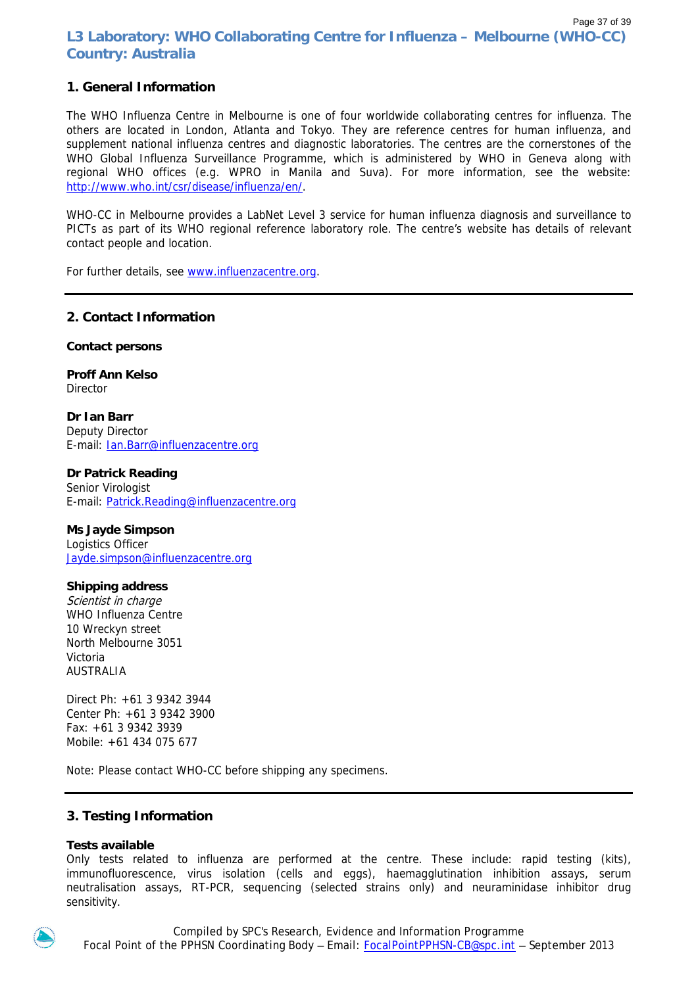### Page 37 of 39 **L3 Laboratory: WHO Collaborating Centre for Influenza – Melbourne (WHO-CC) Country: Australia**

# **1. General Information**

The WHO Influenza Centre in Melbourne is one of four worldwide collaborating centres for influenza. The others are located in London, Atlanta and Tokyo. They are reference centres for human influenza, and supplement national influenza centres and diagnostic laboratories. The centres are the cornerstones of the WHO Global Influenza Surveillance Programme, which is administered by WHO in Geneva along with regional WHO offices (e.g. WPRO in Manila and Suva). For more information, see the website: <http://www.who.int/csr/disease/influenza/en/>.

WHO-CC in Melbourne provides a LabNet Level 3 service for human influenza diagnosis and surveillance to PICTs as part of its WHO regional reference laboratory role. The centre's website has details of relevant contact people and location.

For further details, see www.influenzacentre.org.

### **2. Contact Information**

**Contact persons** 

**Proff Ann Kelso Director** 

**Dr Ian Barr**  Deputy Director E-mail: [Ian.Barr@influenzacentre.org](mailto:Ian.Barr@influenzacentre.org) 

### **Dr Patrick Reading**

Senior Virologist E-mail: [Patrick.Reading@influenzacentre.org](mailto:Patrick.Reading@influenzacentre.org)

### **Ms Jayde Simpson**

Logistics Officer [Jayde.simpson@influenzacentre.org](mailto:Jayde.simpson@influenzacentre.org) 

### **Shipping address**

Scientist in charge WHO Influenza Centre 10 Wreckyn street North Melbourne 3051 Victoria AUSTRALIA

Direct Ph: +61 3 9342 3944 Center Ph: +61 3 9342 3900 Fax: +61 3 9342 3939 Mobile: +61 434 075 677

Note: Please contact WHO-CC before shipping any specimens.

### **3. Testing Information**

### **Tests available**

Only tests related to influenza are performed at the centre. These include: rapid testing (kits), immunofluorescence, virus isolation (cells and eggs), haemagglutination inhibition assays, serum neutralisation assays, RT-PCR, sequencing (selected strains only) and neuraminidase inhibitor drug sensitivity.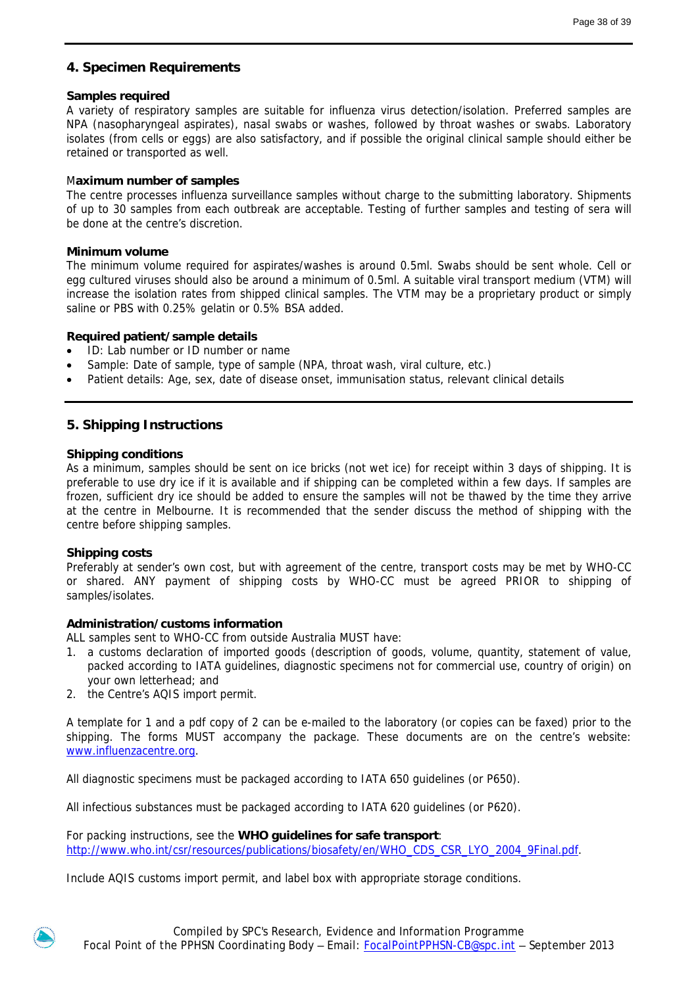# **4. Specimen Requirements**

### **Samples required**

A variety of respiratory samples are suitable for influenza virus detection/isolation. Preferred samples are NPA (nasopharyngeal aspirates), nasal swabs or washes, followed by throat washes or swabs. Laboratory isolates (from cells or eggs) are also satisfactory, and if possible the original clinical sample should either be retained or transported as well.

### M**aximum number of samples**

The centre processes influenza surveillance samples without charge to the submitting laboratory. Shipments of up to 30 samples from each outbreak are acceptable. Testing of further samples and testing of sera will be done at the centre's discretion.

### **Minimum volume**

The minimum volume required for aspirates/washes is around 0.5ml. Swabs should be sent whole. Cell or egg cultured viruses should also be around a minimum of 0.5ml. A suitable viral transport medium (VTM) will increase the isolation rates from shipped clinical samples. The VTM may be a proprietary product or simply saline or PBS with 0.25% gelatin or 0.5% BSA added.

### **Required patient/sample details**

- ID: Lab number or ID number or name
- Sample: Date of sample, type of sample (NPA, throat wash, viral culture, etc.)
- Patient details: Age, sex, date of disease onset, immunisation status, relevant clinical details

### **5. Shipping Instructions**

### **Shipping conditions**

As a minimum, samples should be sent on ice bricks (not wet ice) for receipt within 3 days of shipping. It is preferable to use dry ice if it is available and if shipping can be completed within a few days. If samples are frozen, sufficient dry ice should be added to ensure the samples will not be thawed by the time they arrive at the centre in Melbourne. It is recommended that the sender discuss the method of shipping with the centre before shipping samples.

### **Shipping costs**

Preferably at sender's own cost, but with agreement of the centre, transport costs may be met by WHO-CC or shared. ANY payment of shipping costs by WHO-CC must be agreed PRIOR to shipping of samples/isolates.

### **Administration/customs information**

ALL samples sent to WHO-CC from outside Australia MUST have:

- 1. a customs declaration of imported goods (description of goods, volume, quantity, statement of value, packed according to IATA guidelines, diagnostic specimens not for commercial use, country of origin) on your own letterhead; and
- 2. the Centre's AQIS import permit.

A template for 1 and a pdf copy of 2 can be e-mailed to the laboratory (or copies can be faxed) prior to the shipping. The forms MUST accompany the package. These documents are on the centre's website: www.influenzacentre.org.

All diagnostic specimens must be packaged according to IATA 650 guidelines (or P650).

All infectious substances must be packaged according to IATA 620 guidelines (or P620).

For packing instructions, see the **WHO guidelines for safe transport**: [http://www.who.int/csr/resources/publications/biosafety/en/WHO\\_CDS\\_CSR\\_LYO\\_2004\\_9Final.pdf.](http://www.who.int/csr/resources/publications/biosafety/en/WHO_CDS_CSR_LYO_2004_9Final.pdf)

Include AQIS customs import permit, and label box with appropriate storage conditions.